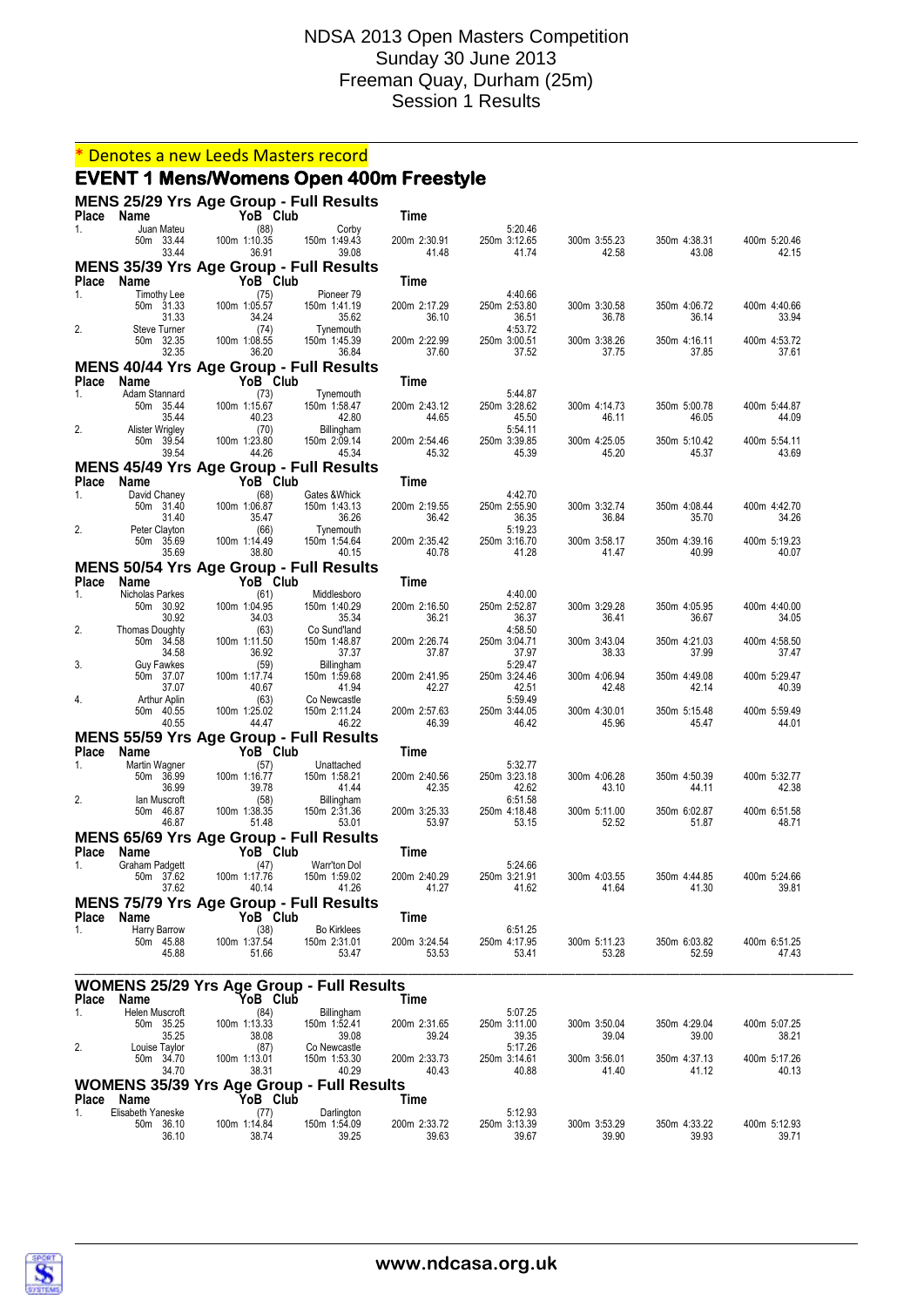#### \* Denotes a new Leeds Masters record

#### **EVENT 1 Mens/Womens Open 400m Freestyle**

**MENS 25/29 Yrs Age Group - Full Results Place Name YoB Club Time** 1. Juan Mateu (88) Corby 1.11.12 1.12.65<br>1. 50m 33.44 100m 1:10.35 150m 1:49.43 200m 2:30.91 250m 3:12.65 50m 33.44 100m 1:10.35 150m 1:49.43 200m 2:30.91 250m 3:12.65 300m 3:55.23 350m 4:38.31 400m 5:20.46 33.44 36.91 39.08 41.48 41.74 42.58 43.08 42.15 **MENS 35/39 Yrs Age Group - Full Results Place Name YoB Club Time**<br>1. Timothy Lee (75) **Pioneer 79** 1. Timothy Lee (75) Pioneer 79 4:40.66 50m 31.33 100m 1:05.57 150m 1:41.19 200m 2:17.29 250m 2:53.80 300m 3:30.58 350m 4:06.72 400m 4:40.66 31.33 34.24 35.62 36.10 36.51 36.78 36.14 33.94 2. Steve Turner (74) Tynemouth 4:53.72 50m 32.35 100m 1:08.55 150m 1:45.39 200m 2:22.99 250m 3:00.51 300m 3:38.26 350m 4:16.11 400m 4:53.72 32.35 36.20 36.84 37.60 37.52 37.75 37.85 37.61 **MENS 40/44 Yrs Age Group - Full Results Place Name YoB Club Time** 1. Adam Stannard (73) Tynemouth 5:44.87 50m 35.44 100m 1:15.67 150m 1:58.47 200m 2:43.12 250m 3:28.62 300m 4:14.73 350m 5:00.78 400m 5:44.87 35.44 40.23 42.80 44.65 45.50 46.11 46.05 44.09 2. 2. Alister Wrigley 10.<br>
554.11 Thingham 5.54.11 The Summer Seter 100m 1:23.80 150m 2:09.14 200m 2:54.46 250m 3:39.85 50m 39.54 100m 1:23.80 150m 2:09.14 200m 2:54.46 250m 3:39.85 300m 4:25.05 350m 5:10.42 400m 5:54.11 39.54 44.26 45.34 45.32 45.39 45.20 45.37 43.69 **MENS 45/49 Yrs Age Group - Full Results Place Name YoB Club Time**<br>1 David Chaney **YoB** Cates & Whick 1. David Chaney (68) Gates &Whick 4:42.70 50m 31.40 100m 1:06.87 150m 1:43.13 200m 2:19.55 250m 2:55.90 300m 3:32.74 350m 4:08.44 400m 4:42.70 31.40 35.47 36.26 36.42 36.35 36.84 35.70 34.26 2. Peter Clayton (66) Tynemouth 5:19.23 50m 35.69 100m 1:14.49 150m 1:54.64 200m 2:35.42 250m 3:16.70 300m 3:58.17 350m 4:39.16 400m 5:19.23 35.69 38.80 40.15 40.78 41.28 41.47 40.99 40.07 **MENS 50/54 Yrs Age Group - Full Results Place Name YoB Club Time**<br>1. Nicholas Parkes (61) Middlesboro 1. Nicholas Parkes (61) Middlesboro 4:40.00 50m 30.92 100m 1:04.95 150m 1:40.29 200m 2:16.50 250m 2:52.87 300m 3:29.28 350m 4:05.95 400m 4:40.00 30.92 34.03 35.34 36.21 36.37 36.41 36.67 34.05 2. Thomas Doughty (63) Co Sund'land 4:58.50<br>50m 34.58 100m 1:11.50 150m 1:48.87 200m 2:26.74 250m 3:04.71 50m 34.58 100m 1:11.50 150m 1:48.87 200m 2:26.74 250m 3:04.71 300m 3:43.04 350m 4:21.03 400m 4:58.50 34.58 36.92 37.37 37.87 37.97 38.33 37.99 37.47 3. Guy Fawkes (59) Billingham 5:29.47<br>529.47 50m 37.07 100m 1:17.74 150m 1:59.68 200m 2:41.95 250m 3:24.46 50m 37.07 100m 1:17.74 150m 1:59.68 200m 2:41.95 250m 3:24.46 300m 4:06.94 350m 4:49.08 400m 5:29.47 37.07 40.67 41.94 42.27 42.51 42.48 42.14 40.39 4. Arthur Aplin (63) Co Newcastle 5:59.49 50m 40.55 100m 1:25.02 150m 2:11.24 200m 2:57.63 250m 3:44.05 300m 4:30.01 350m 5:15.48 400m 5:59.49 40.55 44.47 46.22 46.39 46.42 45.96 45.47 44.01 **MENS 55/59 Yrs Age Group - Full Results Place Name YoB Club Time**<br>1 Martin Wagner (57) **Unattached Time** 1. Martin Wagner (57) Unattached 5:32.77 50m 36.99 100m 1:16.77 150m 1:58.21 200m 2:40.56 250m 3:23.18 300m 4:06.28 350m 4:50.39 400m 5:32.77 36.99 39.78 41.44 42.35 42.62 43.10 44.11 42.38 2. Ian Muscroft (58) Billingham 6:51.58 50m 46.87 100m 1:38.35 150m 2:31.36 200m 3:25.33 250m 4:18.48 300m 5:11.00 350m 6:02.87 400m 6:51.58 46.87 51.48 53.01 53.97 53.15 52.52 51.87 48.71 **MENS 65/69 Yrs Age Group - Full Results Place Name YoB Club Time** 1. Graham Padgett (47) Warr'ton Dol 5:24.66 50m 37.62 100m 1:17.76 150m 1:59.02 200m 2:40.29 250m 3:21.91 300m 4:03.55 350m 4:44.85 400m 5:24.66 37.62 40.14 41.26 41.27 41.62 41.64 41.30 39.81 **MENS 75/79 Yrs Age Group - Full Results Place Name YoB Club Time**<br>1. Harry Barrow (38) Bo Kirklees 1. Harry Barrow (38) Bo Kirklees 6:51.25 50m 45.88 100m 1:37.54 150m 2:31.01 200m 3:24.54 250m 4:17.95 300m 5:11.23 350m 6:03.82 400m 6:51.25 45.88 51.66 53.47 53.53 53.41 53.28 52.59 47.43 \_\_\_\_\_\_\_\_\_\_\_\_\_\_\_\_\_\_\_\_\_\_\_\_\_\_\_\_\_\_\_\_\_\_\_\_\_\_\_\_\_\_\_\_\_\_\_\_\_\_\_\_\_\_\_\_\_\_\_\_\_\_\_\_\_\_\_\_\_\_\_\_\_\_\_\_\_\_\_\_\_\_\_\_\_\_\_\_\_\_\_\_\_\_\_\_\_\_\_\_\_\_\_\_\_\_\_\_\_\_\_\_ **WOMENS 25/29 Yrs Age Group - Full Results Place Name YoB Club Time** 1. Helen Muscroft (84) Billingham 5:07.25 50m 35.25 100m 1:13.33 150m 1:52.41 200m 2:31.65 250m 3:11.00 300m 3:50.04 350m 4:29.04 400m 5:07.25 35.25 38.08 39.08 39.24 39.35 39.04 39.00 38.21 2. Louise Taylor (87) Co Newcastle 5:17.26 50m 34.70 100m 1:13.01 150m 1:53.30 200m 2:33.73 250m 3:14.61 300m 3:56.01 350m 4:37.13 400m 5:17.26 34.70 38.31 40.29 40.43 40.88 41.40 41.12 40.13 **WOMENS 35/39 Yrs Age Group - Full Results Place Name YoB Club Time** 1. Elisabeth Yaneske (77) Darlington 5:12.93<br>
50m 36.10 100m 1:14.84 150m 1:54.09 200m 2:33.72 250m 3:13.39 50m 36.10 100m 1:14.84 150m 1:54.09 200m 2:33.72 250m 3:13.39 300m 3:53.29 350m 4:33.22 400m 5:12.93



36.10 38.74 39.25 39.63 39.67 39.90 39.93 39.71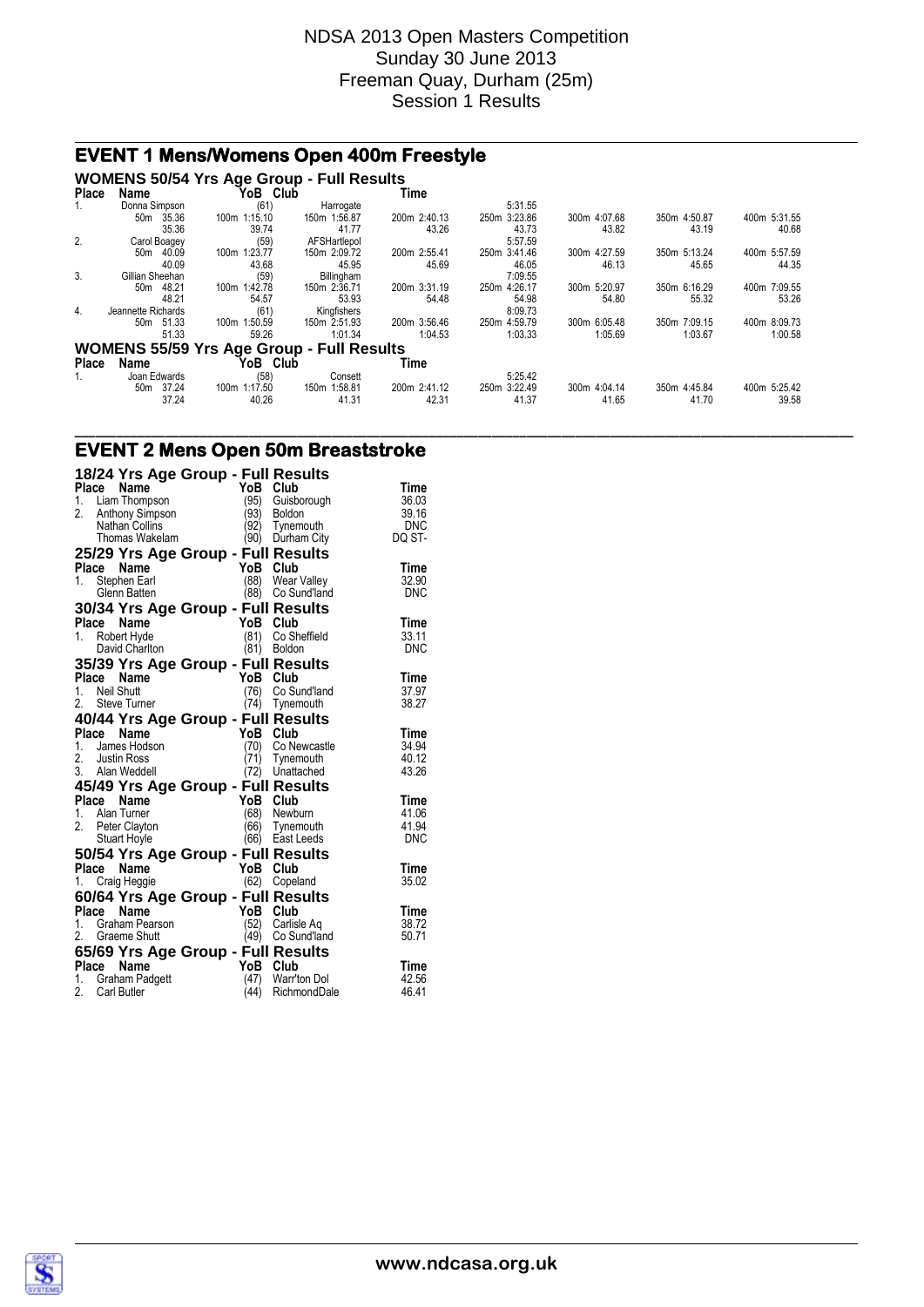# **EVENT 1 Mens/Womens Open 400m Freestyle**

#### **WOMENS 50/54 Yrs Age Group - Full Results**

| <b>Place</b> | Name                     | YoB<br>Club                                      |              | Time         |              |              |              |              |
|--------------|--------------------------|--------------------------------------------------|--------------|--------------|--------------|--------------|--------------|--------------|
| 1.           | Donna Simpson            | (61)                                             | Harrogate    |              | 5:31.55      |              |              |              |
|              | 35.36<br>50 <sub>m</sub> | 100m 1:15.10                                     | 150m 1:56.87 | 200m 2:40.13 | 250m 3:23.86 | 300m 4:07.68 | 350m 4:50.87 | 400m 5:31.55 |
|              | 35.36                    | 39.74                                            | 41.77        | 43.26        | 43.73        | 43.82        | 43.19        | 40.68        |
| 2.           | Carol Boagey             | (59)                                             | AFSHartlepol |              | 5:57.59      |              |              |              |
|              | 40.09<br>50m             | 1:23.77<br>100m                                  | 150m 2:09.72 | 200m 2:55.41 | 250m 3:41.46 | 300m 4:27.59 | 350m 5:13.24 | 400m 5:57.59 |
|              | 40.09                    | 43.68                                            | 45.95        | 45.69        | 46.05        | 46.13        | 45.65        | 44.35        |
| 3.           | Gillian Sheehan          | (59)                                             | Billingham   |              | 7:09.55      |              |              |              |
|              | 48.21<br>50m             | 100m 1:42.78                                     | 150m 2:36.71 | 200m 3:31.19 | 250m 4:26.17 | 300m 5:20.97 | 350m 6:16.29 | 400m 7:09.55 |
|              | 48.21                    | 54.57                                            | 53.93        | 54.48        | 54.98        | 54.80        | 55.32        | 53.26        |
| 4.           | Jeannette Richards       | (61)                                             | Kingfishers  |              | 8:09.73      |              |              |              |
|              | 50m 51.33                | 1:50.59<br>100m                                  | 150m 2:51.93 | 200m 3:56.46 | 250m 4:59.79 | 300m 6:05.48 | 350m 7:09.15 | 400m 8:09.73 |
|              | 51.33                    | 59.26                                            | 1:01.34      | 1:04.53      | 1:03.33      | 1:05.69      | 1:03.67      | 1:00.58      |
|              |                          | <b>WOMENS 55/59 Yrs Age Group - Full Results</b> |              |              |              |              |              |              |
| <b>Place</b> | Name                     | YoB Club                                         |              | Time         |              |              |              |              |
| 1.           | Joan Edwards             | (58)                                             | Consett      |              | 5:25.42      |              |              |              |
|              | 37.24<br>50 <sub>m</sub> | 1:17.50<br>100m                                  | 150m 1:58.81 | 200m 2:41.12 | 250m 3:22.49 | 300m 4:04.14 | 350m 4:45.84 | 400m 5:25.42 |
|              | 37.24                    | 40.26                                            | 41.31        | 42.31        | 41.37        | 41.65        | 41.70        | 39.58        |

**\_\_\_\_\_\_\_\_\_\_\_\_\_\_\_\_\_\_\_\_\_\_\_\_\_\_\_\_\_\_\_\_\_\_\_\_\_\_\_\_\_\_\_\_\_\_\_\_\_\_\_\_\_\_\_\_\_\_\_\_\_\_\_\_\_\_\_\_\_\_\_\_\_\_\_\_\_\_\_\_\_\_\_\_\_\_\_\_\_\_\_\_\_\_\_\_\_\_\_\_\_\_\_\_\_\_\_\_\_\_\_\_**

### **EVENT 2 Mens Open 50m Breaststroke**

|                   |                       | 18/24 Yrs Age Group - Full Results             |                              |                |
|-------------------|-----------------------|------------------------------------------------|------------------------------|----------------|
| Place             | Name                  | YoB                                            | Club                         | Time           |
| 1. Liam Thompson  |                       | (95)                                           | Guisborough                  | 36.03          |
| 2.                | Anthony Simpson       | (93)                                           | <b>Boldon</b>                | 39.16          |
|                   | <b>Nathan Collins</b> | (92)                                           | Tynemouth                    | <b>DNC</b>     |
|                   | Thomas Wakelam        |                                                | (90) Durham City             | DQ ST-         |
|                   |                       | 25/29 Yrs Age Group - Full Results             |                              |                |
| Place             | Name                  | YoB Club                                       |                              | Time           |
| 1.                | Stephen Earl          |                                                | (88) Wear Valley             | 32.90          |
|                   | Glenn Batten          |                                                | (88) Co Sund'land            | <b>DNC</b>     |
|                   |                       | 30/34 Yrs Age Group - Full Results             |                              |                |
| Place Name        |                       | YoB Club                                       |                              | Time           |
| 1.                | Robert Hyde           | (81)                                           | Co Sheffield                 | 33.11          |
|                   | David Charlton        |                                                | (81) Boldon                  | DNC            |
|                   |                       | 35/39 Yrs Age Group - Full Results             |                              |                |
| Place             | Name                  | YoB                                            | Club                         | Time           |
| Neil Shutt<br>1.  |                       | (76)                                           | Co Sund'land                 | 37.97          |
| 2. Steve Turner   |                       |                                                | (74) Tynemouth               | 38.27          |
|                   |                       | 40/44 Yrs Age Group - Full Results             |                              |                |
| Place             | Name                  | YoB Club                                       |                              | Time           |
| $1_{-}$           | James Hodson          |                                                | (70) Co Newcastle            | 34.94          |
| 2. Justin Ross    |                       | (71)                                           | Tynemouth                    | 40.12          |
| 3. Alan Weddell   |                       | (72)                                           | Unattached                   | 43.26          |
|                   |                       | 45/49 Yrs Age Group - Full Results             |                              |                |
| Place             | Name                  | YoB Club                                       |                              | <b>Time</b>    |
| Alan Turner<br>1. |                       |                                                | (68) Newburn                 | 41.06          |
| 2.                | Peter Clayton         | (66)                                           | Tynemouth                    | 41.94          |
|                   | Stuart Hoyle          |                                                | (66) East Leeds              | <b>DNC</b>     |
|                   |                       | 50/54 Yrs Age Group - Full Results             |                              |                |
| Place Name        |                       | YoB Club                                       |                              | Time           |
| 1. Craig Heggie   |                       |                                                | (62) Copeland                | 35.02          |
|                   |                       | 60/64 Yrs Age Group - Full Results             |                              |                |
| Place Name        |                       | YoB Club                                       |                              | Time           |
|                   | 1. Graham Pearson     | (52)                                           | Carlisle Ag                  | 38.72          |
| 2. Graeme Shutt   |                       | (49)                                           | Co Sund'land                 | 50.71          |
|                   |                       |                                                |                              |                |
| Place             | Name                  | 65/69 Yrs Age Group - Full Results<br>YoB Club |                              | Time           |
| $1_{-}$           |                       |                                                |                              |                |
|                   |                       |                                                |                              |                |
| 2.<br>Carl Butler | Graham Padgett        | (47)<br>(44)                                   | Warr'ton Dol<br>RichmondDale | 42.56<br>46.41 |

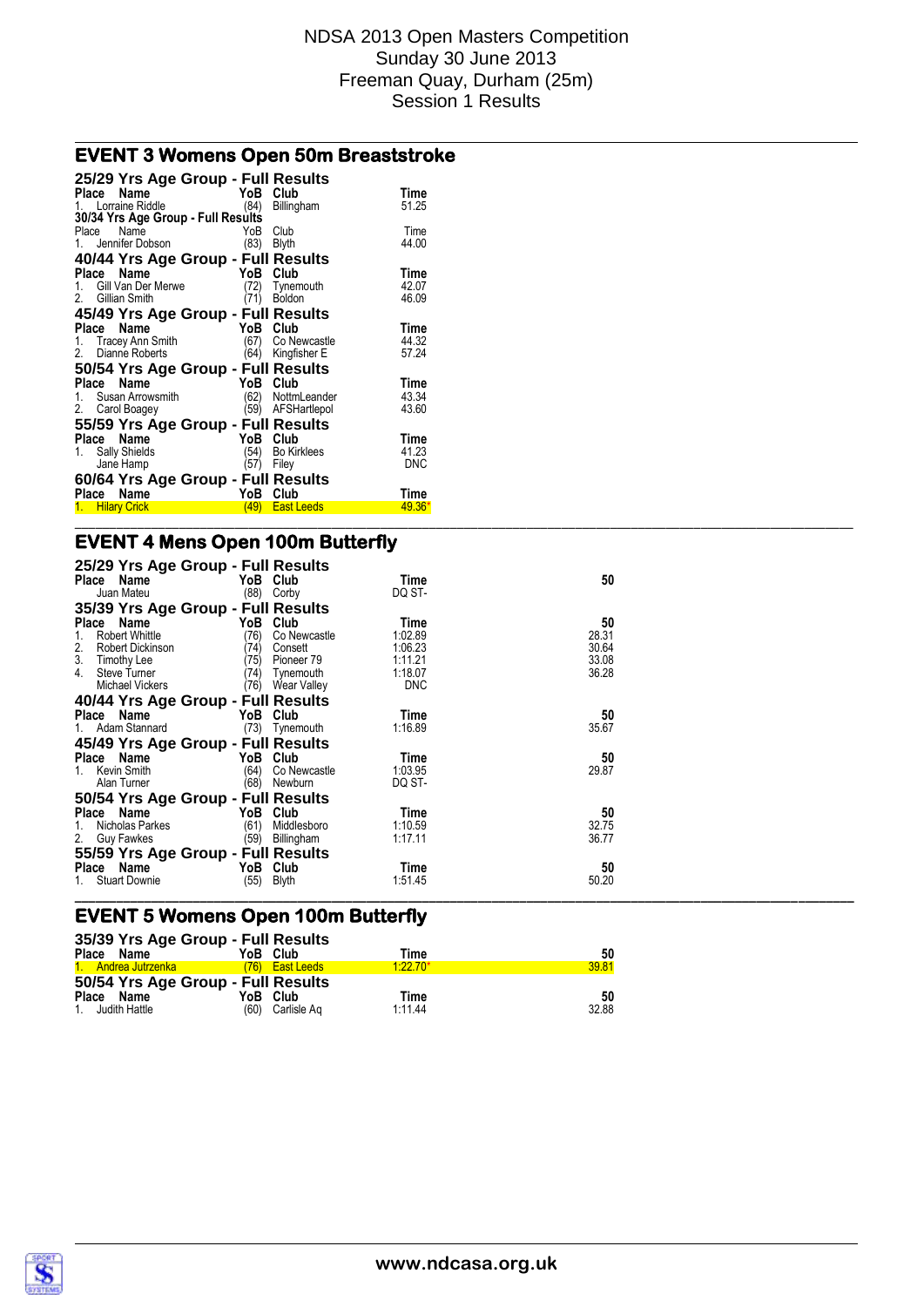### **EVENT 3 Womens Open 50m Breaststroke**

| 25/29 Yrs Age Group - Full Results |      |                    |            |
|------------------------------------|------|--------------------|------------|
| Place<br>Name                      |      | YoB Club           | Time       |
| 1. Lorraine Riddle                 | (84) | Billingham         | 51.25      |
| 30/34 Yrs Age Group - Full Results |      |                    |            |
| Place<br>Name                      | YoB  | Club               | Time       |
| 1. Jennifer Dobson                 | (83) | Blyth              | 44.00      |
| 40/44 Yrs Age Group - Full Results |      |                    |            |
| Place<br>Name                      | YoB  | Club               | Time       |
| Gill Van Der Merwe                 | (72) | Tynemouth          | 42.07      |
| 2. Gillian Smith                   | (71) | <b>Boldon</b>      | 46.09      |
| 45/49 Yrs Age Group - Full Results |      |                    |            |
| Place Name                         |      | YoB Club           | Time       |
| 1. Tracey Ann Smith                | (67) | Co Newcastle       | 44.32      |
| 2. Dianne Roberts                  | (64) | Kingfisher E       | 57.24      |
| 50/54 Yrs Age Group - Full Results |      |                    |            |
| Place Name                         | YoB  | Club               | Time       |
| 1. Susan Arrowsmith                | (62) | NottmLeander       | 43.34      |
| 2. Carol Boagey                    | (59) | AFSHartlepol       | 43.60      |
| 55/59 Yrs Age Group - Full Results |      |                    |            |
| Place Name                         | YoB  | Club               | Time       |
| 1. Sally Shields                   | (54) | <b>Bo Kirklees</b> | 41.23      |
| Jane Hamp                          | (57) | Filey              | <b>DNC</b> |
| 60/64 Yrs Age Group - Full Results |      |                    |            |
| Name<br>Place                      |      | YoB Club           | Time       |
| 1. Hilary Crick                    | (49) | <b>East Leeds</b>  | $49.36*$   |
|                                    |      |                    |            |

# **EVENT 4 Mens Open 100m Butterfly**

| 25/29 Yrs Age Group - Full Results<br>Place Name | YoB Club             | Time       | 50    |  |
|--------------------------------------------------|----------------------|------------|-------|--|
| Juan Mateu                                       | (88) Corby           | DQ ST-     |       |  |
| 35/39 Yrs Age Group - Full Results               |                      |            |       |  |
| Place Name                                       | YoB Club             | Time       | 50    |  |
| Robert Whittle                                   | (76)<br>Co Newcastle | 1:02.89    | 28.31 |  |
| 2.<br>Robert Dickinson                           | (74)<br>Consett      | 1:06.23    | 30.64 |  |
| 3.<br>Timothy Lee                                | (75)<br>Pioneer 79   | 1:11.21    | 33.08 |  |
| 4.<br><b>Steve Turner</b>                        | (74)<br>Tynemouth    | 1:18.07    | 36.28 |  |
| Michael Vickers                                  | (76)<br>Wear Valley  | <b>DNC</b> |       |  |
| 40/44 Yrs Age Group - Full Results               |                      |            |       |  |
| Place Name                                       | YoB Club             | Time       | 50    |  |
| 1. Adam Stannard                                 | (73) Tynemouth       | 1:16.89    | 35.67 |  |
| 45/49 Yrs Age Group - Full Results               |                      |            |       |  |
| Place Name                                       | YoB Club             | Time       | 50    |  |
| 1. Kevin Smith                                   | (64)<br>Co Newcastle | 1:03.95    | 29.87 |  |
| Alan Turner                                      | (68)<br>Newburn      | DQ ST-     |       |  |
| 50/54 Yrs Age Group - Full Results               |                      |            |       |  |
| Place Name                                       | YoB Club             | Time       | 50    |  |
| Nicholas Parkes                                  | (61)<br>Middlesboro  | 1:10.59    | 32.75 |  |
| 2. Guy Fawkes                                    | (59)<br>Billingham   | 1:17.11    | 36.77 |  |
| 55/59 Yrs Age Group - Full Results               |                      |            |       |  |
| Place Name                                       | YoB Club             | Time       | 50    |  |
| <b>Stuart Downie</b>                             | (55)<br><b>Blyth</b> | 1.51.45    | 50.20 |  |
|                                                  |                      |            |       |  |

### **EVENT 5 Womens Open 100m Butterfly**

|                     | 35/39 Yrs Age Group - Full Results |           |       |
|---------------------|------------------------------------|-----------|-------|
| Place Name          | YoB Club                           | Time      | 50    |
| 1. Andrea Jutrzenka | (76) East Leeds                    | $1.2270*$ | 39.81 |
|                     | 50/54 Yrs Age Group - Full Results |           |       |
| Place Name          | YoB Club                           | Time      | 50    |
| 1. Judith Hattle    | (60) Carlisle Ag                   | 1 11 44   | 32.88 |

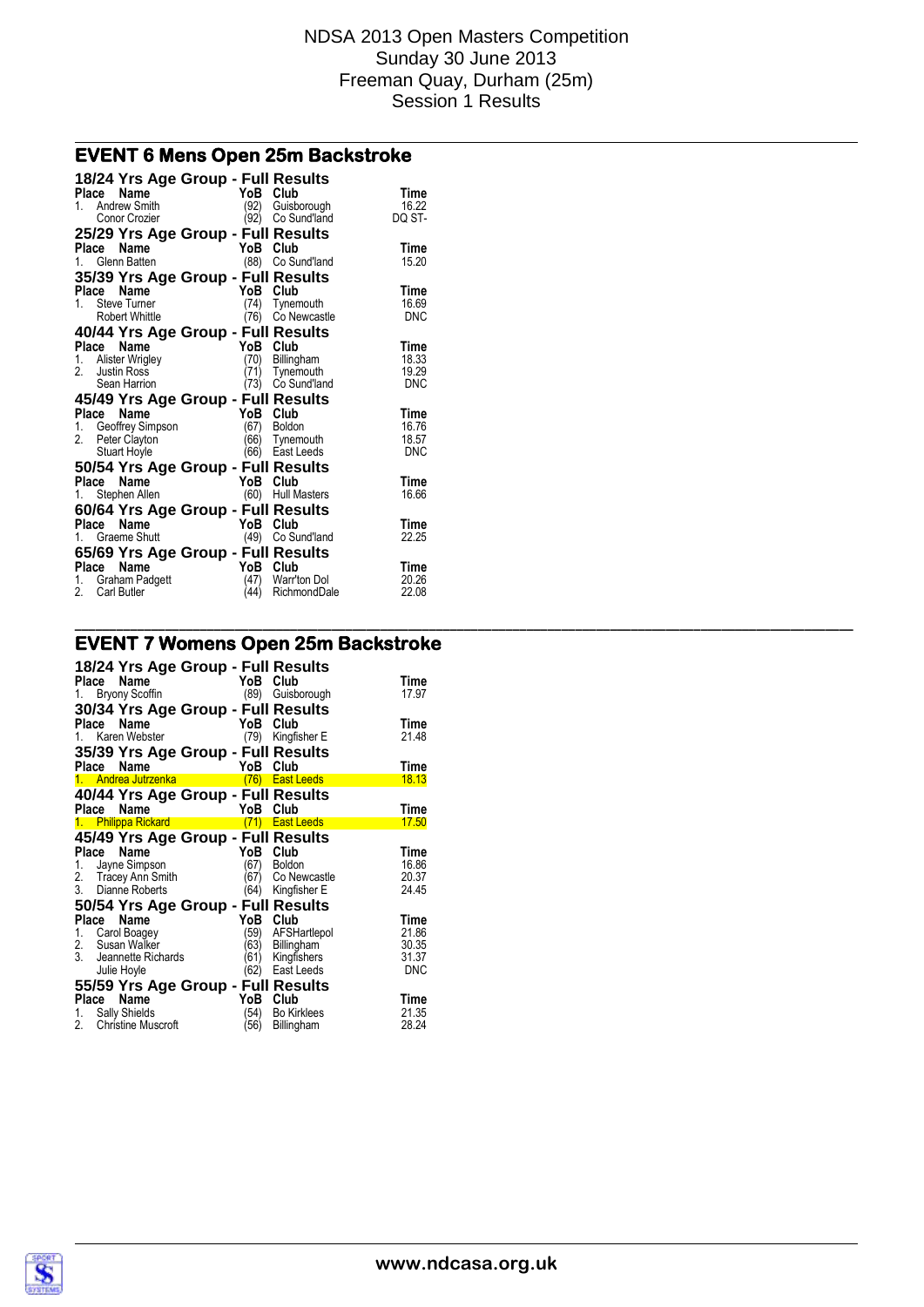**\_\_\_\_\_\_\_\_\_\_\_\_\_\_\_\_\_\_\_\_\_\_\_\_\_\_\_\_\_\_\_\_\_\_\_\_\_\_\_\_\_\_\_\_\_\_\_\_\_\_\_\_\_\_\_\_\_\_\_\_\_\_\_\_\_\_\_\_\_\_\_\_\_\_\_\_\_\_\_\_\_\_\_\_\_\_\_\_\_\_\_\_\_\_\_\_\_\_\_\_\_\_\_\_\_\_\_\_\_\_\_\_**

### **EVENT 6 Mens Open 25m Backstroke**

| 18/24 Yrs Age Group - Full Results<br>Name<br>Place | YoB Club |                             | Time       |
|-----------------------------------------------------|----------|-----------------------------|------------|
| Andrew Smith<br>1.                                  | (92)     |                             | 16.22      |
| Conor Crozier                                       | ∖92)     | Guisborough<br>Co Sund'land | DQ ST-     |
|                                                     |          |                             |            |
| 25/29 Yrs Age Group - Full Results                  |          |                             |            |
| Name<br>Place                                       | YoB      | Club                        | Time       |
| Glenn Batten<br>1.                                  |          | (88) Co Sund'land           | 15.20      |
| 35/39 Yrs Age Group - Full Results                  |          |                             |            |
| Place<br>Name                                       | YoB      | Club                        | Time       |
| <b>Steve Turner</b><br>1                            | (74)     | Tynemouth                   | 16.69      |
| Robert Whittle                                      | (76)     | Co Newcastle                | <b>DNC</b> |
| 40/44 Yrs Age Group - Full Results                  |          |                             |            |
| Name<br>Place                                       | YoB      | Club                        | Time       |
| Ce<br>Alister Wrigley<br>1.                         | (70)     | Billingham                  | 18.33      |
| 2                                                   | (71)     | Tynemouth                   | 19.29      |
| Sean Harrion                                        | (73)     | Co Sund'land                | <b>DNC</b> |
| 45/49 Yrs Age Group - Full Results                  |          |                             |            |
| Name<br>Place                                       | YoB Club |                             | Time       |
| Geoffrey Simpson<br>1.                              | (67)     | <b>Boldon</b>               | 16.76      |
| 2.<br>Peter Clayton                                 | 66)      | Tynemouth                   | 18.57      |
| <b>Stuart Hoyle</b>                                 | (66      | East Leeds                  | <b>DNC</b> |
| 50/54 Yrs Age Group - Full Results                  |          |                             |            |
| Name<br>Place                                       | YoB      | Club                        | Time       |
| Stephen Allen<br>1.                                 |          | (60) Hull Masters           | 16.66      |
|                                                     |          |                             |            |
| 60/64 Yrs Age Group - Full Results                  |          |                             |            |
| Name<br>Place                                       | YoB Club |                             | Time       |
| Graeme Shutt<br>1.                                  | (49)     | Co Sund'land                | 22.25      |
| 65/69 Yrs Age Group - Full Results                  |          |                             |            |
| Place<br>Name                                       | YoB      | Club                        | Time       |
| Graham Padgett<br>1.                                | (47)     | Warr'ton Dol                | 20.26      |
| 2.<br><b>Carl Butler</b>                            | (44)     | RichmondDale                | 22.08      |

# **EVENT 7 Womens Open 25m Backstroke**

| Place       | 18/24 Yrs Age Group - Full Results<br>Name<br>1. Bryony Scoffin                                         | YoB Club                     | (89) Guisborough                                        | Time<br>17.97                   |
|-------------|---------------------------------------------------------------------------------------------------------|------------------------------|---------------------------------------------------------|---------------------------------|
| Place       | 30/34 Yrs Age Group - Full Results<br>Name<br>1. Karen Webster                                          | YoB                          | Club<br>(79) Kingfisher E                               | Time<br>21.48                   |
| Place       | 35/39 Yrs Age Group - Full Results<br>Name<br>1. Andrea Jutrzenka                                       | YoB                          | Club<br>(76) East Leeds                                 | Time<br>18.13                   |
| Place       | 40/44 Yrs Age Group - Full Results<br>Name                                                              | YoB                          | Club                                                    | Time                            |
|             | 1. Philippa Rickard                                                                                     |                              | (71) East Leeds                                         | 17.50                           |
| Place<br>1. | 45/49 Yrs Age Group - Full Results<br>Name<br>Jayne Simpson<br>2. Tracey Ann Smith<br>3. Dianne Roberts | YoB<br>(67)<br>(67)<br>(64)  | Club<br><b>Boldon</b><br>Co Newcastle<br>Kingfisher E   | Time<br>16.86<br>20.37<br>24.45 |
|             | 50/54 Yrs Age Group - Full Results                                                                      |                              |                                                         |                                 |
| Place       | <b>Name</b>                                                                                             | YoB                          | Club                                                    | Time                            |
| 3.          | 1. Carol Boagey<br>2. Susan Walker<br>Jeannette Richards<br>Julie Hoyle                                 | '59)<br>(63)<br>(61)<br>(62) | AFSHartlepol<br>Billingham<br>Kingfishers<br>East Leeds | 21.86<br>30.35<br>31.37<br>DNC  |
|             | 55/59 Yrs Age Group - Full Results<br>Place Name                                                        | YoB Club                     |                                                         | Time                            |

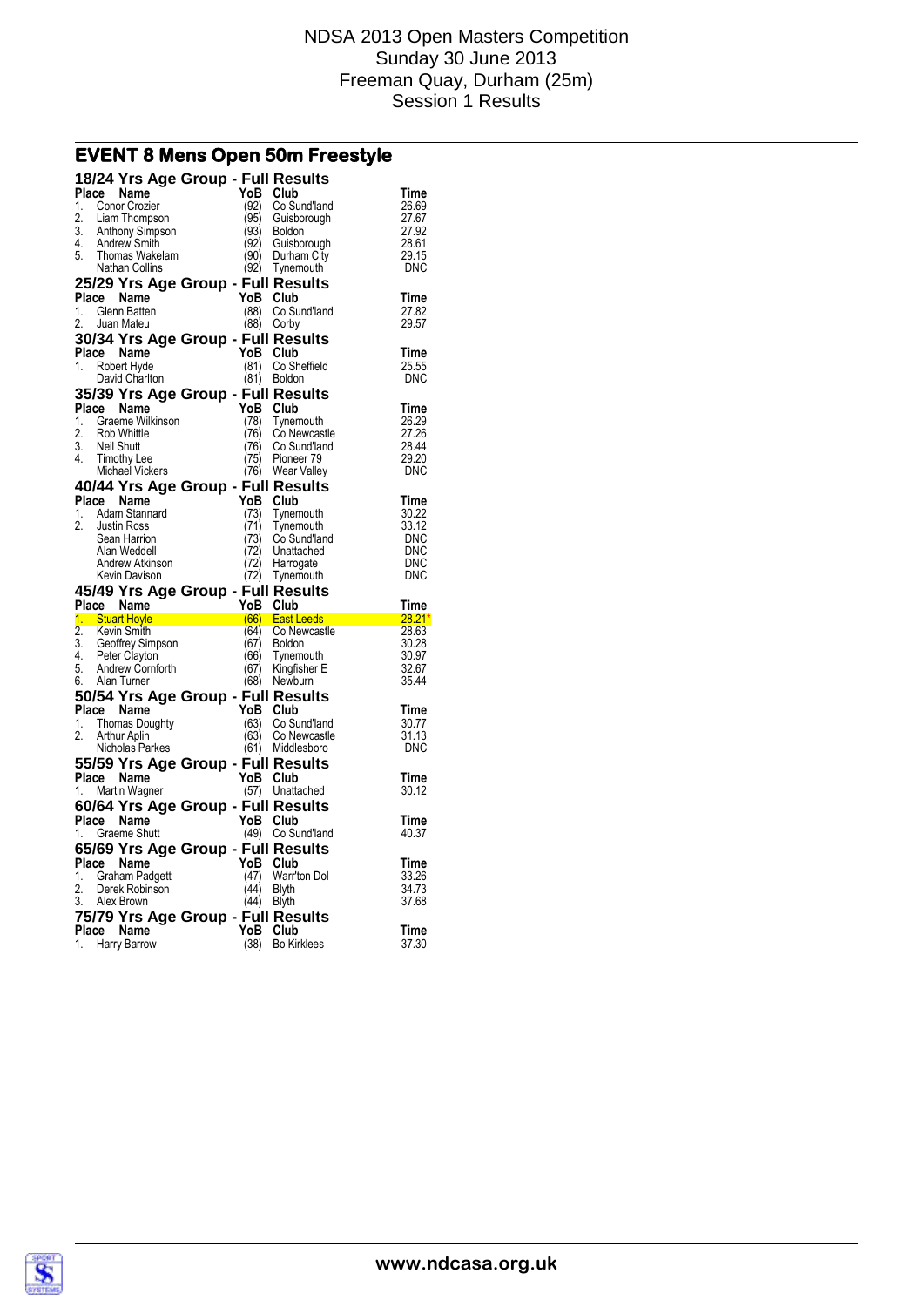# **EVENT 8 Mens Open 50m Freestyle**

|                  | 18/24 Yrs Age Group - Full Results         |                       |              |                              |                |
|------------------|--------------------------------------------|-----------------------|--------------|------------------------------|----------------|
| Place<br>1.      | Name<br>Conor Crozier                      |                       | YoB<br>(92)  | Club<br>Co Sund'land         | Time<br>26.69  |
| 2.               | Liam Thompson                              |                       | 95)          | Guisborough                  | 27.67          |
| 3.               | Anthony Simpson                            |                       | (93)         | <b>Boldon</b>                | 27.92          |
| 4.               | Andrew Smith                               |                       | (92)         | Guisborough                  | 28.61          |
| 5.               | Thomas Wakelam<br>Nathan Collins           |                       | (90)<br>(92) | Durham City<br>Tynemouth     | 29.15<br>DNC   |
|                  | 25/29 Yrs Age Group - Full Results         |                       |              |                              |                |
| Place            | Name                                       |                       | YoB          | Club                         | Time           |
| 1.               | Glenn Batten                               |                       | (88)         | Co Sund'land                 | 27.82          |
| 2.               | Juan Mateu                                 |                       | (88)         | Corby                        | 29.57          |
|                  | 30/34 Yrs Age Group - Full Results         |                       | YoB          |                              |                |
| 1.               | Place Name<br>Robert Hyde                  |                       | (81)         | Club<br>Co Sheffield         | Time<br>25.55  |
|                  | David Charlton                             |                       | (81)         | <b>Boldon</b>                | <b>DNC</b>     |
|                  | 35/39 Yrs Age Group - Full Results         |                       |              |                              |                |
| Place            | Name                                       |                       | YoB          | Club                         | <b>Time</b>    |
| 1.               | Graeme Wilkinson                           |                       | (78)         | Tynemouth                    | 26.29          |
| 2.<br>3.         | Rob Whittle<br><b>Neil Shutt</b>           |                       | 76)<br>76)   | Co Newcastle<br>Co Sund'land | 27.26<br>28.44 |
| 4.               | <b>Timothy Lee</b>                         |                       | (75)         | Pioneer 79                   | 29.20          |
|                  | Michael Vickers                            |                       | (76)         | Wear Valley                  | <b>DNC</b>     |
|                  | 40/44 Yrs Age Group - Full Results         |                       |              |                              |                |
|                  | Place Name                                 |                       | YoB          | Club                         | <b>Time</b>    |
| 1.<br>2.         | Adam Stannard<br><b>Justin Ross</b>        |                       | (73)<br>(71) | Tynemouth<br>Tynemouth       | 30.22<br>33.12 |
|                  | Sean Harrion                               |                       | (73)         | Co Sund'land                 | DNC            |
|                  | Alan Weddell                               |                       | 72)          | Unattached                   | <b>DNC</b>     |
|                  | Andrew Atkinson                            |                       |              |                              |                |
|                  |                                            |                       | 72)          | Harrogate                    | DNC            |
|                  | Kevin Davison                              |                       | (72)         | Tynemouth                    | DNC            |
|                  | 45/49 Yrs Age Group - Full Results         |                       |              |                              |                |
|                  | Place Name<br>1. Stuart Hoyle              |                       | YoB          | Club<br><b>East Leeds</b>    | <b>Time</b>    |
| $\overline{2}$ . | Kevin Smith                                | $\overline{166}$ (66) | (64)         | 28.21<br>Co Newcastle        | 28.63          |
| 3.               | Geoffrey Simpson                           |                       | (67)         | <b>Boldon</b>                | 30.28          |
| 4.               | Peter Clayton                              |                       | (66)         | Tynemouth                    | 30.97          |
| 5.<br>6.         | Andrew Cornforth<br>Alan Turner            |                       | (67)<br>(68) | Kingfisher E<br>Newburn      | 32.67<br>35.44 |
|                  | 50/54 Yrs Age Group - Full Results         |                       |              |                              |                |
| Place            | Name                                       |                       | YoB          | Club                         | Time           |
| 1.               | <b>Thomas Doughty</b>                      |                       | (63)         | Co Sund'land                 | 30.77          |
| 2.               | Arthur Aplin                               |                       | (63)         | Co Newcastle                 | 31.13<br>DNC   |
|                  | Nicholas Parkes                            |                       |              | (61) Middlesboro             |                |
| Place            | 55/59 Yrs Age Group - Full Results<br>Name |                       | YoB          | Club                         | Time           |
| 1.               | Martin Wagner                              |                       | (57)         | Unattached                   | 30.12          |
|                  | 60/64 Yrs Age Group - Full Results         |                       |              |                              |                |
| Place            | Name                                       |                       | YoB          | Club                         | Time           |
| 1.               | <b>Graeme Shutt</b>                        |                       | (49)         | Co Sund'land                 | 40.37          |
|                  | 65/69 Yrs Age Group - Full Results         |                       |              |                              |                |
|                  | Place Name<br>1. Graham Padgett            |                       | YoB<br>(47)  | Club<br>Warr'ton Dol         | Time<br>33.26  |
| 2.               | Derek Robinson                             |                       | (44)         | Blyth                        | 34.73          |
| 3.               | Alex Brown                                 |                       | (44)         | <b>Blyth</b>                 | 37.68          |
|                  | 75/79 Yrs Age Group - Full Results         |                       |              |                              |                |
| Place<br>1.      | Name<br>Harry Barrow                       |                       | YoB<br>(38)  | Club<br><b>Bo Kirklees</b>   | Time<br>37.30  |

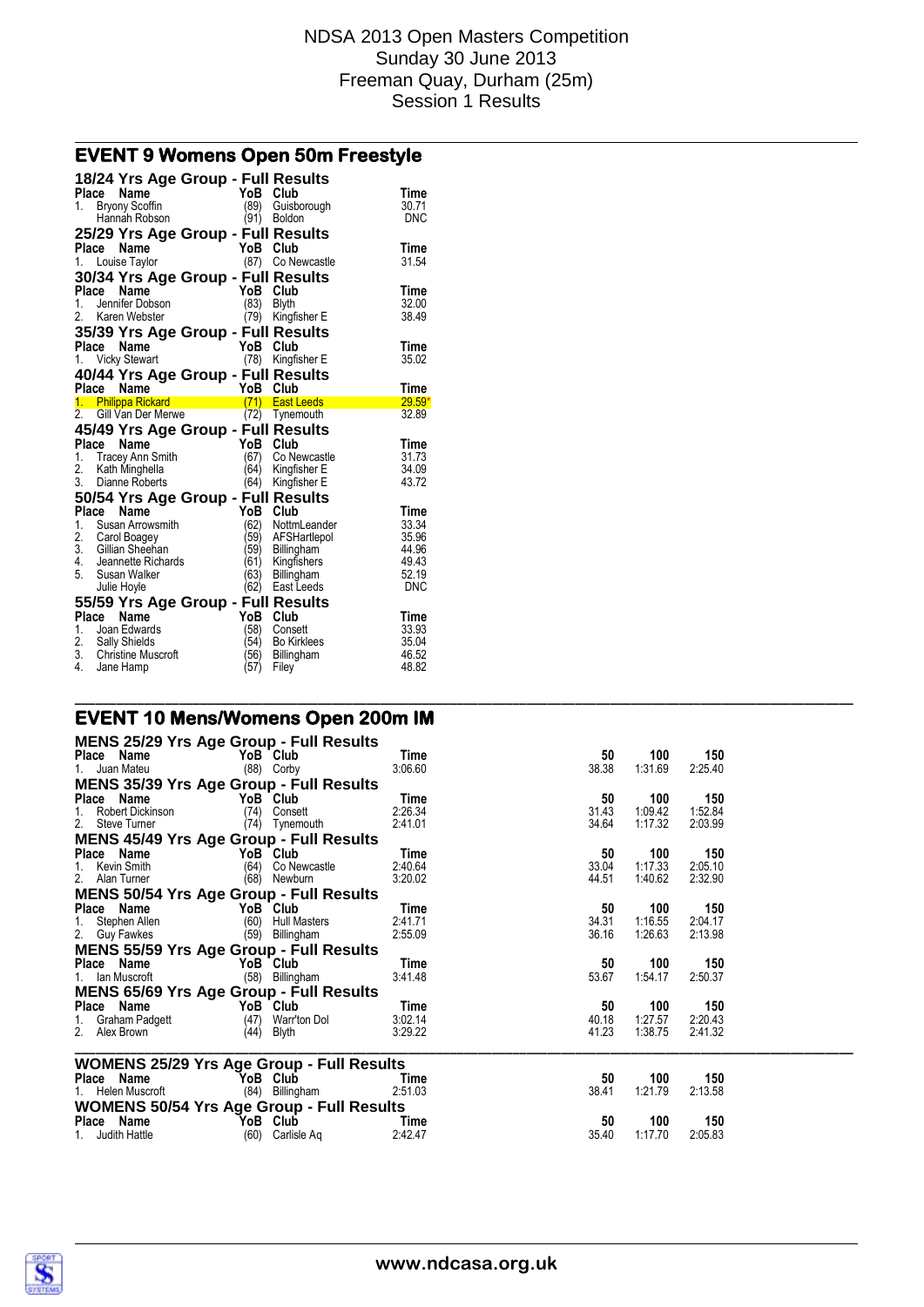# **EVENT 9 Womens Open 50m Freestyle**

|                | 18/24 Yrs Age Group - Full Results                          |              |                           |                      |
|----------------|-------------------------------------------------------------|--------------|---------------------------|----------------------|
|                | Place Name                                                  | YoB Club     |                           | Time                 |
| $1_{-}$        | <b>Bryony Scoffin</b>                                       | (89)         | Guisborough               | 30.71                |
|                | Hannah Robson                                               |              | (91) Boldon               | <b>DNC</b>           |
|                | 25/29 Yrs Age Group - Full Results                          |              |                           |                      |
|                | <b>Name</b><br>Place                                        | YoB Club     |                           | Time                 |
| 1.             | Louise Taylor                                               |              | (87) Co Newcastle         | 31.54                |
|                | 30/34 Yrs Age Group - Full Results                          |              |                           |                      |
|                | Place<br>Name                                               | YoB          | Club                      | <b>Time</b>          |
| 1.             | <b>ce Name</b><br>Jennifer Dobson<br>Kana Wabatar           | (83)         | <b>Blyth</b>              | 32.00                |
| 2.             | Karen Webster                                               | (79)         | Kingfisher E              | 38.49                |
|                | 35/39 Yrs Age Group - Full Results                          |              |                           |                      |
|                | Place<br><b>Name</b>                                        | YoB          | Club                      | <b>Time</b>          |
| 1.             | <b>Vicky Stewart</b>                                        | (78)         | Kingfisher E              | 35.02                |
|                | 40/44 Yrs Age Group - Full Results                          |              |                           |                      |
|                | Place Name                                                  | YoB          | Club                      | <b>Time</b>          |
|                | $\frac{1}{2}$<br>1. Philippa Rickard                        | (71)         | <b>East Leeds</b>         | $29.59*$             |
|                | 2. Gill Van Der Merwe                                       | (72)         | Tynemouth                 | 32.89                |
|                | 45/49 Yrs Age Group - Full Results                          |              |                           |                      |
|                | Place<br>Name                                               | YoB          | Club                      | <b>Time</b>          |
|                | 1. Tracey Ann Smith<br>2. Kath Minghella                    | (67)         | Co Newcastle              | 31.73                |
|                | 2. Kath Minghella                                           | (64)         | Kingfisher E              | 34.09                |
|                | 3. Dianne Roberts                                           | (64)         | Kingfisher E              | 43.72                |
|                | 50/54 Yrs Age Group - Full Results                          |              |                           |                      |
|                |                                                             |              |                           |                      |
| 1.             | Name                                                        |              |                           | Time                 |
|                | Place                                                       | YoB Club     |                           |                      |
|                | Susan Arrowsmith                                            | (62)         | NottmLeander              | 33.34<br>35.96       |
|                |                                                             | '59)<br>'59) | AFSHartlepol              | 44.96                |
| 4.             | 2. Carol Boagey<br>3. Gillian Sheehan<br>Jeannette Richards | (61)         | Billingham                | 49.43                |
| 5 <sub>1</sub> | Susan Walker                                                | (63)         | Kingfishers<br>Billingham | 52.19                |
|                | Julie Hoyle                                                 | (62)         | East Leeds                | <b>DNC</b>           |
|                |                                                             |              |                           |                      |
|                | 55/59 Yrs Age Group - Full Results                          |              |                           |                      |
| 1.             | Place<br><b>Name</b><br>Joan Edwards                        | YoB          | Club<br>Consett           | <b>Time</b><br>33.93 |
|                |                                                             | (58)<br>(54) | <b>Bo Kirklees</b>        | 35.04                |
|                | 2. Sally Shields<br>3. Christine Muscroft                   | (56)         | Billingham                | 46.52                |

# **EVENT 10 Mens/Womens Open 200m IM**

| <b>MENS 25/29 Yrs Age Group - Full Results</b>                                 |                    |                |                    |                    |  |
|--------------------------------------------------------------------------------|--------------------|----------------|--------------------|--------------------|--|
| Place Name<br>YoB Club                                                         | Time               | 50             | 100                | 150                |  |
| 1. Juan Mateu<br>$(88)$ Corby                                                  | 3:06.60            | 38.38          | 1:31.69            | 2:25.40            |  |
| <b>MENS 35/39 Yrs Age Group - Full Results</b>                                 |                    |                |                    |                    |  |
| Place Name<br>YoB Club                                                         | Time               | 50             | 100                | 150                |  |
| 1. Robert Dickinson<br>(74)<br>Consett<br>2. Steve Turner<br>(74)<br>Tynemouth | 2:26.34<br>2:41.01 | 31.43<br>34.64 | 1:09.42<br>1:17.32 | 1:52.84<br>2:03.99 |  |
| <b>MENS 45/49 Yrs Age Group - Full Results</b>                                 |                    |                |                    |                    |  |
| Place Name<br>YoB Club                                                         | Time               | 50             | 100                | 150                |  |
| 1. Kevin Smith<br>(64)<br>Co Newcastle                                         | 2:40.64            | 33.04          | 1:17.33            | 2:05.10            |  |
| 2. Alan Turner<br>(68)<br>Newburn                                              | 3:20.02            | 44.51          | 1:40.62            | 2:32.90            |  |
| <b>MENS 50/54 Yrs Age Group - Full Results</b>                                 |                    |                |                    |                    |  |
| Place Name<br>YoB Club                                                         | Time               | 50             | 100                | 150                |  |
| 1. Stephen Allen<br>(60)<br>Hull Masters                                       | 2:41.71            | 34.31          | 1:16.55            | 2:04.17            |  |
| 2. Guy Fawkes<br>(59)<br>Billingham                                            | 2:55.09            | 36.16          | 1:26.63            | 2:13.98            |  |
| <b>MENS 55/59 Yrs Age Group - Full Results</b>                                 |                    |                |                    |                    |  |
| Place Name<br>YoB Club<br>(58) Billingham<br>1. Ian Muscroft                   | Time<br>3:41.48    | 50<br>53.67    | 100<br>1:54.17     | 150<br>2:50.37     |  |
| <b>MENS 65/69 Yrs Age Group - Full Results</b>                                 |                    |                |                    |                    |  |
| Place Name<br>YoB Club                                                         | Time               | 50             | 100                | 150                |  |
| (47)<br>Warr'ton Dol<br>1.<br>Graham Padgett                                   | 3:02.14            | 40.18          | 1:27.57            | 2:20.43            |  |
| 2. Alex Brown<br>(44)<br>Blyth                                                 | 3:29.22            | 41.23          | 1:38.75            | 2:41.32            |  |
|                                                                                |                    |                |                    |                    |  |
| <b>WOMENS 25/29 Yrs Age Group - Full Results</b><br>Place Name<br>YoB Club     | Time               | 50             | 100                | 150                |  |
| 1. Helen Muscroft<br>(84) Billingham                                           | 2:51.03            | 38.41          | 1:21.79            | 2:13.58            |  |
| <b>WOMENS 50/54 Yrs Age Group - Full Results</b>                               |                    |                |                    |                    |  |
| Place Name<br>YoB Club                                                         | Time               | 50             | 100                | 150                |  |
| (60) Carlisle Aq<br>1. Judith Hattle                                           | 2:42.47            | 35.40          | 1:17.70            | 2:05.83            |  |

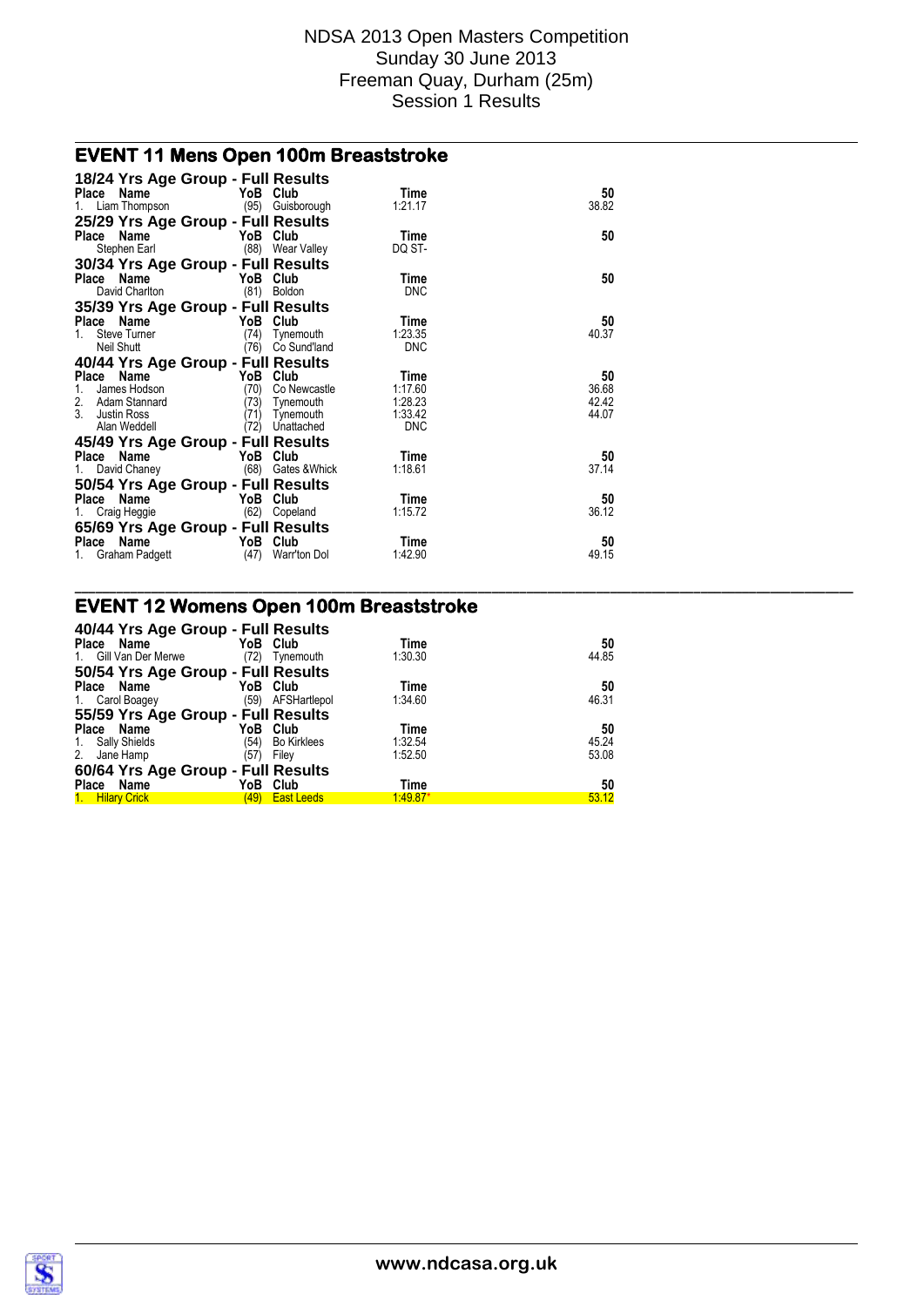**\_\_\_\_\_\_\_\_\_\_\_\_\_\_\_\_\_\_\_\_\_\_\_\_\_\_\_\_\_\_\_\_\_\_\_\_\_\_\_\_\_\_\_\_\_\_\_\_\_\_\_\_\_\_\_\_\_\_\_\_\_\_\_\_\_\_\_\_\_\_\_\_\_\_\_\_\_\_\_\_\_\_\_\_\_\_\_\_\_\_\_\_\_\_\_\_\_\_\_\_\_\_\_\_\_\_\_\_\_\_\_\_**

# **EVENT 11 Mens Open 100m Breaststroke**

| 18/24 Yrs Age Group - Full Results<br>Place Name<br>1. Liam Thompson                                                            | YoB Club                                 | (95) Guisborough                                     | Time<br>1:21.17                                     | 50<br>38.82                   |
|---------------------------------------------------------------------------------------------------------------------------------|------------------------------------------|------------------------------------------------------|-----------------------------------------------------|-------------------------------|
| 25/29 Yrs Age Group - Full Results<br>Place Name<br>Stephen Earl                                                                | YoB Club                                 | (88) Wear Valley                                     | Time<br>DQ ST-                                      | 50                            |
| 30/34 Yrs Age Group - Full Results<br>Place Name<br>David Charlton                                                              | YoB Club                                 | (81) Boldon                                          | <b>Time</b><br><b>DNC</b>                           | 50                            |
| 35/39 Yrs Age Group - Full Results<br>Place Name<br>Steve Turner<br>1.<br>Neil Shutt                                            | YoB Club<br>(74)                         | Tynemouth<br>(76) Co Sund'land                       | Time<br>1.23.35<br><b>DNC</b>                       | 50<br>40.37                   |
| 40/44 Yrs Age Group - Full Results<br>Place<br>Name<br>James Hodson<br>1.<br>2. Adam Stannard<br>3. Justin Ross<br>Alan Weddell | YoB Club<br>(70)<br>(73)<br>(71)<br>(72) | Co Newcastle<br>Tynemouth<br>Tynemouth<br>Unattached | Time<br>1:17.60<br>1:28.23<br>1:33.42<br><b>DNC</b> | 50<br>36.68<br>42.42<br>44.07 |
| 45/49 Yrs Age Group - Full Results<br>Place Name<br>1. David Chaney (68) Gates & Whick<br>50/54 Yrs Age Group - Full Results    | YoB Club                                 |                                                      | Time<br>1:18.61                                     | 50<br>37.14                   |
| Place Name<br>1. Craig Heggie<br>65/69 Yrs Age Group - Full Results<br>Place<br>Name                                            | YoB Club<br><b>Example 2018</b> YoB Club | (62) Copeland                                        | Time<br>1:15.72<br>Time                             | 50<br>36.12<br>50             |
| 1. Graham Padgett                                                                                                               |                                          | (47) Warr'ton Dol                                    | 1:42.90                                             | 49.15                         |

### **EVENT 12 Womens Open 100m Breaststroke**

| 40/44 Yrs Age Group - Full Results |               |                                 |       |
|------------------------------------|---------------|---------------------------------|-------|
| Place Name                         | YoB Club      | Time                            | 50    |
| Gill Van Der Merwe<br>1.           | (72)          | 1:30.30<br>Tynemouth            | 44.85 |
| 50/54 Yrs Age Group - Full Results |               |                                 |       |
| Place Name                         | YoB Club      | Time                            | 50    |
| 1. Carol Boagey                    | (59)          | 1.34.60<br>AFSHartlepol         | 46.31 |
| 55/59 Yrs Age Group - Full Results |               |                                 |       |
| Place<br>Name                      | Club<br>YoB   | Time                            | 50    |
| Sally Shields<br>$\mathbf{1}$ .    | (54)          | 1.32.54<br><b>Bo Kirklees</b>   | 45.24 |
| 2.<br>Jane Hamp                    | (57)<br>Filey | 1:52.50                         | 53.08 |
| 60/64 Yrs Age Group - Full Results |               |                                 |       |
| <b>Place</b><br>Name               | YoB<br>Club   | Time                            | 50    |
| 1. Hilary Crick                    | (49)          | $1.49.87*$<br><b>East Leeds</b> | 53.12 |

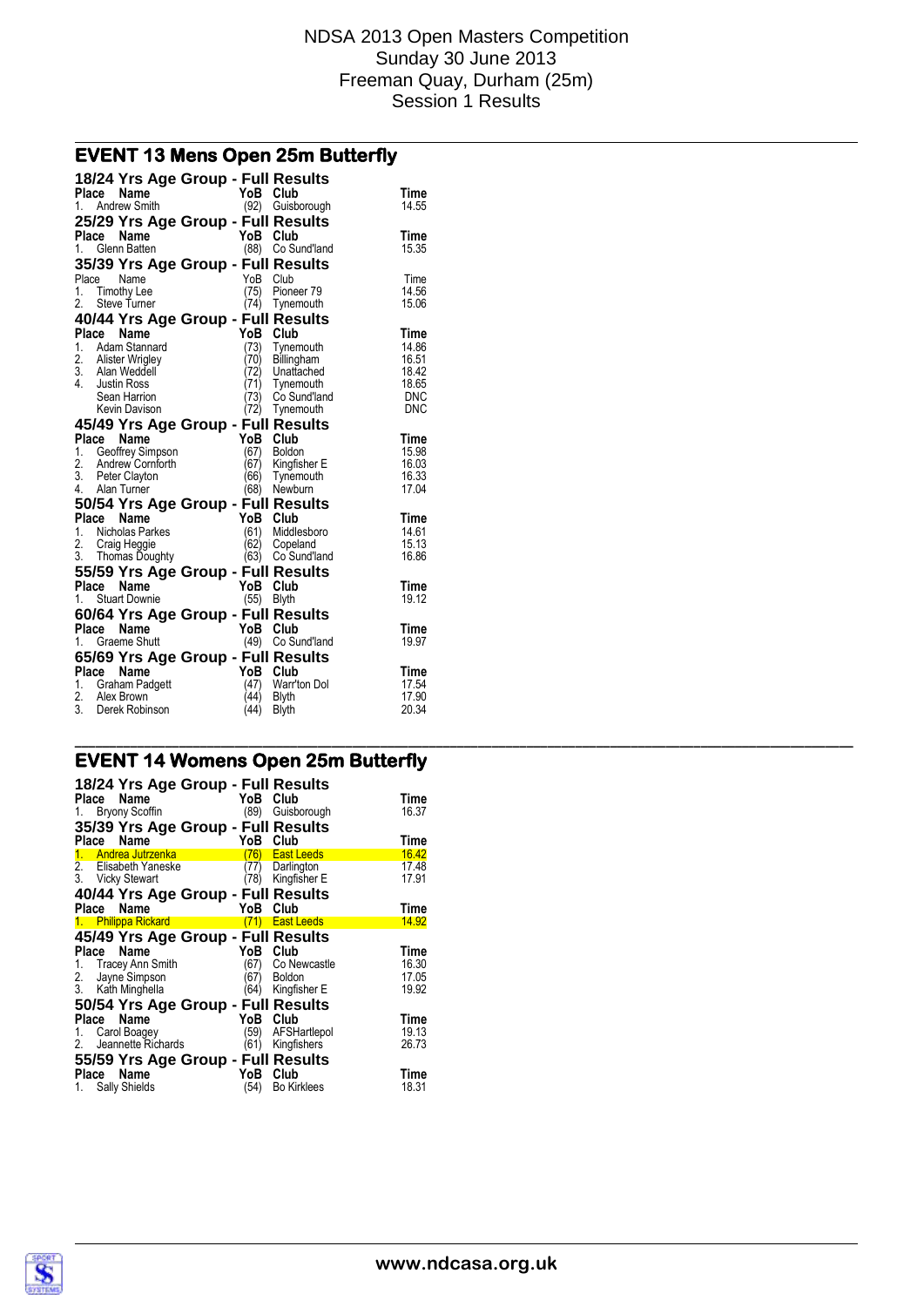# **EVENT 13 Mens Open 25m Butterfly**

| 18/24 Yrs Age Group - Full Results<br>Place<br>Name | YoB Club    |                           |                |
|-----------------------------------------------------|-------------|---------------------------|----------------|
| 1. Andrew Smith                                     | (92)        | Guisborough               | Time<br>14.55  |
| 25/29 Yrs Age Group - Full Results                  |             |                           |                |
| Place<br>Name                                       | YoB         | Club                      | <b>Time</b>    |
| 1. Glenn Batten                                     |             | (88) Co Sund'land         | 15.35          |
| 35/39 Yrs Age Group - Full Results                  |             |                           |                |
| Place<br>Name                                       | YoB         | Club                      | Time           |
| 1. Timothy Lee                                      | (75)        | Pioneer 79                | 14.56          |
| 2.<br>Steve Turner                                  | (74)        | Tynemouth                 | 15.06          |
| 40/44 Yrs Age Group - Full Results                  |             |                           |                |
| Place<br>Name                                       | YoB         | Club                      | Time           |
| 1.<br>Adam Stannard                                 | (73)        | Tynemouth                 | 14.86          |
| 2. Alister Wrigley                                  | 70)         | Billingham                | 16.51          |
| 3. Alan Weddell                                     | (72)<br>71) | Unattached                | 18.42<br>18.65 |
| 4. Justin Ross<br>Sean Harrion                      | 73)         | Tynemouth<br>Co Sund'land | <b>DNC</b>     |
| Kevin Davison                                       |             | (72) Tynemouth            | <b>DNC</b>     |
| 45/49 Yrs Age Group - Full Results                  |             |                           |                |
| Place<br><b>Name</b>                                | YoB         | Club                      | Time           |
| 1. Geoffrey Simpson                                 | (67)        | <b>Boldon</b>             | 15.98          |
| 2. Andrew Cornforth                                 | (67)        | Kingfisher E              | 16.03          |
| 3.<br>Peter Clayton                                 | 66)         | Tynemouth                 | 16.33          |
| 4. Alan Turner                                      | (68)        | Newburn                   | 17.04          |
| 50/54 Yrs Age Group - Full Results                  |             |                           |                |
| Place<br>Name                                       | YoB         | Club                      | Time           |
| 1.<br>Nicholas Parkes                               | (61)        | Middlesboro               | 14.61          |
| 2.<br>Craig Heggie                                  | (62)        | Copeland                  | 15.13          |
| 3. Thomas Doughty                                   |             | (63) Co Sund'land         | 16.86          |
| 55/59 Yrs Age Group - Full Results                  |             |                           |                |
| Place<br><b>Name</b>                                | YoB         | Club                      | Time           |
| <b>Stuart Downie</b><br>1.                          | (55)        | <b>Blyth</b>              | 19.12          |
| 60/64 Yrs Age Group - Full Results                  |             |                           |                |
| Place<br>Name                                       | YoB Club    |                           | <b>Time</b>    |
| Graeme Shutt<br>1.                                  | (49)        | Co Sund'land              | 19.97          |
| 65/69 Yrs Age Group - Full Results                  |             |                           |                |
| Place Name                                          | YoB         | Club                      | Time           |
| 1. Graham Padgett                                   | (47)        | Warr'ton Dol              | 17.54          |
| 2. Alex Brown                                       | (44)        | Blyth                     | 17.90          |
| 3. Derek Robinson                                   | (44)        | <b>Blyth</b>              | 20.34          |

#### **EVENT 14 Womens Open 25m Butterfly**

| Place Name  | 1. Bryony Scoffin                        | 18/24 Yrs Age Group - Full Results<br>YoB Club<br>(89) | Guisborough                | Time<br>16.37  |
|-------------|------------------------------------------|--------------------------------------------------------|----------------------------|----------------|
| Place       | Name                                     | 35/39 Yrs Age Group - Full Results<br>YoB              | Club                       | Time           |
|             | 1. Andrea Jutrzenka                      | 76)                                                    | <b>East Leeds</b>          | 16.42          |
|             | 2. Elisabeth Yaneske<br>3. Vicky Stewart | 77)<br>78)                                             | Darlington<br>Kingfisher E | 17.48<br>17.91 |
|             |                                          | 40/44 Yrs Age Group - Full Results                     |                            |                |
| Place       | Name                                     | YoB                                                    | Club                       | Time           |
|             | 1. Philippa Rickard                      |                                                        | (71) East Leeds            | 14.92          |
|             |                                          | 45/49 Yrs Age Group - Full Results                     |                            |                |
| Place       | Name                                     | YoB                                                    | Club                       | Time           |
|             | 1. Tracey Ann Smith                      | (67)                                                   | Co Newcastle               | 16.30          |
| 2.          | Jayne Simpson                            | 67)                                                    | <b>Boldon</b>              | 17.05          |
|             | 3. Kath Minghella                        | (64)                                                   | Kingfisher E               | 19.92          |
|             |                                          | 50/54 Yrs Age Group - Full Results                     |                            |                |
| Place       | Name                                     | YoB                                                    | Club                       | Time           |
|             | 1. Carol Boagey                          | (59)                                                   | AFSHartlepol               | 19.13          |
| 2.          | Jeannette Richards                       | (61)                                                   | Kingfishers                | 26.73          |
|             |                                          | 55/59 Yrs Age Group - Full Results                     |                            |                |
| Place<br>1. | Name<br><b>Sally Shields</b>             | YoB<br>(54)                                            | Club<br><b>Bo Kirklees</b> | Time<br>18.31  |

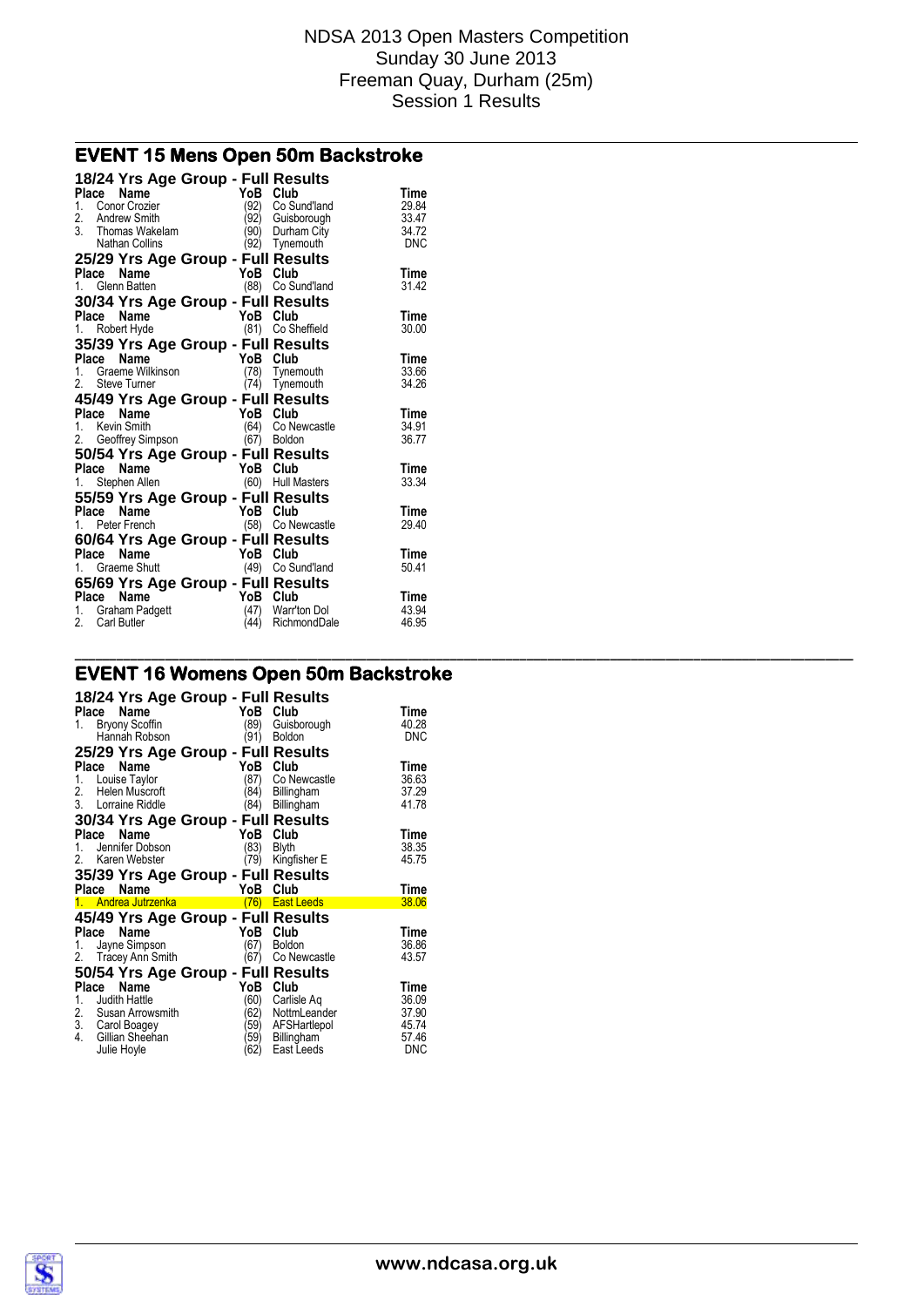**\_\_\_\_\_\_\_\_\_\_\_\_\_\_\_\_\_\_\_\_\_\_\_\_\_\_\_\_\_\_\_\_\_\_\_\_\_\_\_\_\_\_\_\_\_\_\_\_\_\_\_\_\_\_\_\_\_\_\_\_\_\_\_\_\_\_\_\_\_\_\_\_\_\_\_\_\_\_\_\_\_\_\_\_\_\_\_\_\_\_\_\_\_\_\_\_\_\_\_\_\_\_\_\_\_\_\_\_\_\_\_\_**

### **EVENT 15 Mens Open 50m Backstroke**

| 18/24 Yrs Age Group - Full Results<br>Provided a matter of the Maria Contract of the Maria Contract of the Maria Contract Contract Contract Contract Contract Contract Contract Contract Contract Contract Contract Contract Contract Contract Contract Contract Co |          |                                      | Time       |
|---------------------------------------------------------------------------------------------------------------------------------------------------------------------------------------------------------------------------------------------------------------------|----------|--------------------------------------|------------|
|                                                                                                                                                                                                                                                                     |          |                                      | 29.84      |
|                                                                                                                                                                                                                                                                     |          | (92) Co Sund'land                    | 33.47      |
|                                                                                                                                                                                                                                                                     |          | (92) Guisborough<br>(90) Durham City | 34.72      |
|                                                                                                                                                                                                                                                                     |          | (92) Tynemouth                       | <b>DNC</b> |
|                                                                                                                                                                                                                                                                     |          |                                      |            |
| 25/29 Yrs Age Group - Full Results                                                                                                                                                                                                                                  |          |                                      | Time       |
| <b>Frace Name</b><br>1. Glenn Batten (88) Co Su                                                                                                                                                                                                                     |          | (88) Co Sund'land                    | 31.42      |
|                                                                                                                                                                                                                                                                     |          |                                      |            |
| 30/34 Yrs Age Group - Full Results                                                                                                                                                                                                                                  |          |                                      |            |
| $YoB \nClub$<br>(81) Co Sh<br>Place Name                                                                                                                                                                                                                            |          |                                      | Time       |
| 1. Robert Hyde                                                                                                                                                                                                                                                      |          | (81) Co Sheffield                    | 30.00      |
| 35/39 Yrs Age Group - Full Results                                                                                                                                                                                                                                  |          |                                      |            |
| <b>Place Name</b><br>1. Graeme Wilkinson<br>2. Steve Turner (74) Tynem<br>2. Steve Turner (74) Tynem                                                                                                                                                                |          |                                      | Time       |
|                                                                                                                                                                                                                                                                     |          | $(78)$ Tynemouth                     | 33.66      |
|                                                                                                                                                                                                                                                                     |          | $(74)$ Tynemouth                     | 34.26      |
| 45/49 Yrs Age Group - Full Results                                                                                                                                                                                                                                  |          |                                      |            |
| Place Name<br>1. Kevin Smith (64) Co Newcast<br>2. Geoffrey Simpson (67) Boldon                                                                                                                                                                                     |          |                                      | Time       |
|                                                                                                                                                                                                                                                                     |          | (64) Co Newcastle                    | 34.91      |
|                                                                                                                                                                                                                                                                     |          |                                      | 36.77      |
| 50/54 Yrs Age Group - Full Results                                                                                                                                                                                                                                  |          |                                      |            |
|                                                                                                                                                                                                                                                                     |          |                                      | Time       |
| <b>Place Name</b><br>1. Stephen Allen (60) Hull Masters                                                                                                                                                                                                             |          |                                      | 33.34      |
| 55/59 Yrs Age Group - Full Results                                                                                                                                                                                                                                  |          |                                      |            |
| $\frac{1}{1}$ Peter French<br>1. Peter French<br>2. Peter French                                                                                                                                                                                                    |          |                                      | Time       |
|                                                                                                                                                                                                                                                                     |          | (58) Co Newcastle                    | 29.40      |
| 60/64 Yrs Age Group - Full Results                                                                                                                                                                                                                                  |          |                                      |            |
|                                                                                                                                                                                                                                                                     |          |                                      | Time       |
| <b>Place Name</b><br>1. Graeme Shutt (49) Co Sund'land                                                                                                                                                                                                              |          |                                      | 50.41      |
| 65/69 Yrs Age Group - Full Results                                                                                                                                                                                                                                  |          |                                      |            |
| Place<br>Name                                                                                                                                                                                                                                                       | YoB Club |                                      | Time       |
| 1. Graham Padgett                                                                                                                                                                                                                                                   |          | (47) Warr'ton Dol                    | 43.94      |
| 2. Carl Butler                                                                                                                                                                                                                                                      |          | (44) RichmondDale                    | 46.95      |

# **EVENT 16 Womens Open 50m Backstroke**

| 18/24 Yrs Age Group - Full Results         |             |                           |              |
|--------------------------------------------|-------------|---------------------------|--------------|
| Place<br>Name                              | YoB         | Club                      | Time         |
| <b>Bryony Scoffin</b><br>1.                | (89)        | Guisborough               | 40.28        |
| Hannah Robson                              | (91)        | <b>Boldon</b>             | <b>DNC</b>   |
| 25/29 Yrs Age Group - Full Results         |             |                           |              |
| Place<br>Name                              | YoB         | Club                      | Time         |
| Louise Taylor<br>1.                        | (87)        | Co Newcastle              | 36.63        |
| 2.<br>Helen Muscroft                       | 84)         | Billingham                | 37.29        |
| 3. Lorraine Riddle                         | (84)        | Billingham                | 41.78        |
| 30/34 Yrs Age Group - Full Results         |             |                           |              |
| Name<br>Place                              | YoB         | Club                      | Time         |
| Jennifer Dobson<br>1.                      | (83)        | <b>Blyth</b>              | 38.35        |
| 2. Karen Webster                           | (79)        | Kingfisher E              | 45.75        |
|                                            |             |                           |              |
|                                            |             |                           |              |
| 35/39 Yrs Age Group - Full Results<br>Name | YoB         |                           | Time         |
| Place<br>1. Andrea Jutrzenka L             | (76)        | Club<br><b>East Leeds</b> | 38.06        |
|                                            |             |                           |              |
| 45/49 Yrs Age Group - Full Results         |             |                           |              |
| Name<br>Place                              | YoB         | Club                      | <b>Time</b>  |
| Jayne Simpson<br>1.                        | (67)        | <b>Boldon</b>             | 36.86        |
| 2.<br>Tracey Ann Smith                     | (67)        | Co Newcastle              | 43.57        |
| 50/54 Yrs Age Group - Full Results         |             |                           |              |
| Name<br>Place                              | YoB         | Club                      | Time         |
| Judith Hattle<br>1.                        | (60)        | Carlisle Aq               | 36.09        |
|                                            | (62)        | NottmLeander              | 37.90        |
| 2. Susan Arrowsmith<br>3. Carol Boagey     | 59)         | AFSHartlepol              | 45.74        |
| 4.<br>Gillian Sheehan<br>Julie Hoyle       | 59)<br>(62) | Billingham<br>East Leeds  | 57.46<br>DNC |

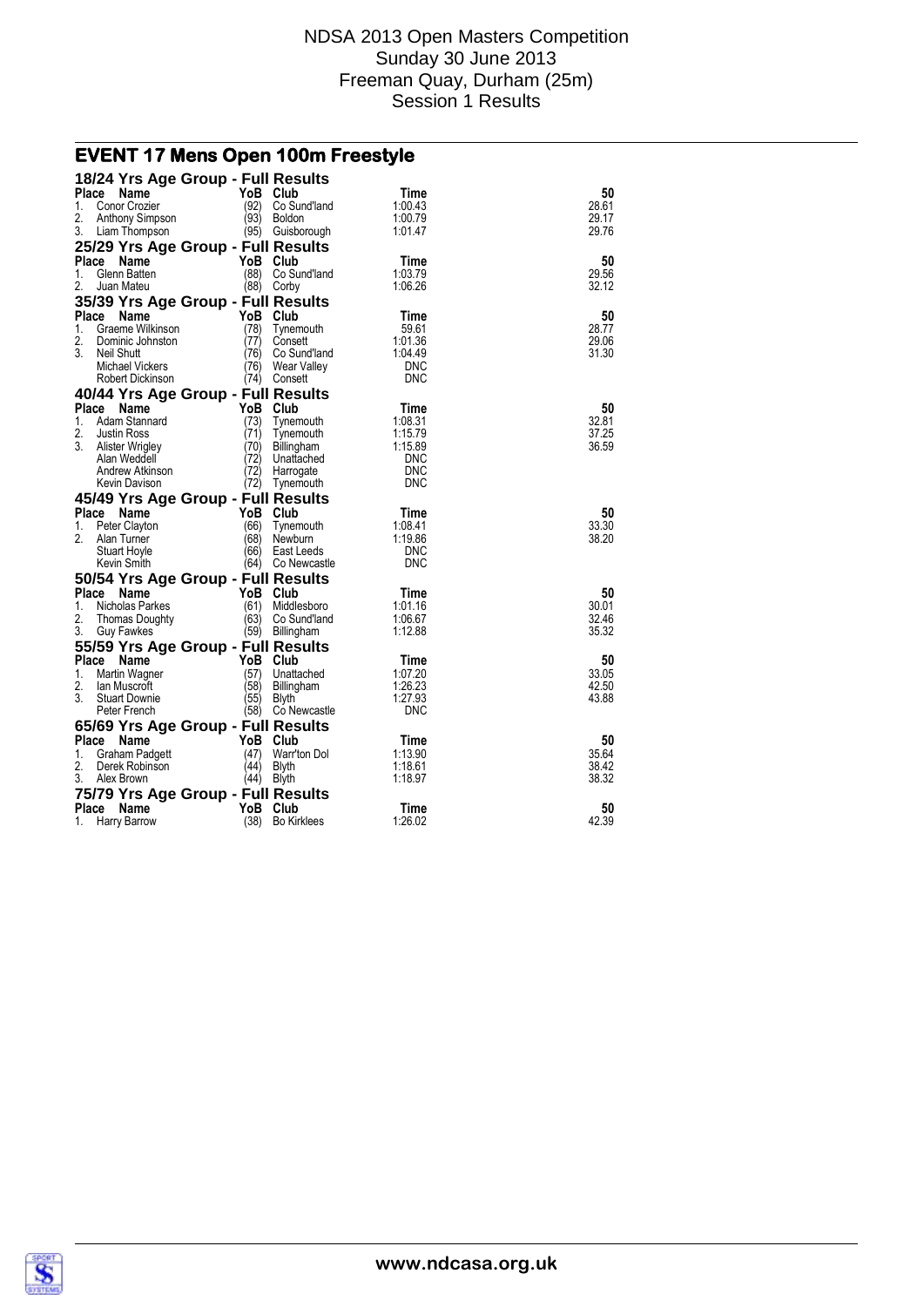# **EVENT 17 Mens Open 100m Freestyle**

| 18/24 Yrs Age Group - Full Results                  |              |                                   |                          |                |
|-----------------------------------------------------|--------------|-----------------------------------|--------------------------|----------------|
| Place<br><b>Name</b>                                | YoB          | Club                              | Time                     | 50             |
| 1.<br>Conor Crozier                                 | (92)         | Co Sund'land                      | 1:00.43                  | 28.61          |
| 2.<br>Anthony Simpson<br>3.<br>Liam Thompson        | (93)         | <b>Boldon</b><br>(95) Guisborough | 1:00.79<br>1:01.47       | 29.17<br>29.76 |
| 25/29 Yrs Age Group - Full Results                  |              |                                   |                          |                |
| Place<br>Name                                       | YoB          | Club                              | Time                     | 50             |
| 1.<br>Glenn Batten                                  | (88)         | Co Sund'land                      | 1.03.79                  | 29.56          |
| 2.<br>Juan Mateu                                    | (88)         | Corby                             | 1.06.26                  | 32.12          |
| 35/39 Yrs Age Group - Full Results                  |              |                                   |                          |                |
| Place<br>Name                                       | YoB          | Club                              | Time                     | 50             |
| Graeme Wilkinson<br>1.                              | (78)         | Tynemouth                         | 59.61                    | 28.77          |
| 2.<br>Dominic Johnston                              | (77)         | Consett                           | 1:01.36                  | 29.06          |
| 3.<br>Neil Shutt                                    | (76)         | Co Sund'land                      | 1.04.49                  | 31.30          |
| Michael Vickers                                     | (76)<br>(74) | Wear Valley                       | <b>DNC</b><br><b>DNC</b> |                |
| Robert Dickinson                                    |              | Consett                           |                          |                |
| 40/44 Yrs Age Group - Full Results<br>Place<br>Name | YoB          | Club                              | Time                     | 50             |
| Adam Stannard<br>1.                                 | (73)         | Tynemouth                         | 1:08.31                  | 32.81          |
| 2.<br><b>Justin Ross</b>                            | (71)         | Tynemouth                         | 1:15.79                  | 37.25          |
| 3.<br>Alister Wrigley                               | (70)         | Billingham                        | 1:15.89                  | 36.59          |
| Alan Weddell                                        | (72)         | Unattached                        | <b>DNC</b>               |                |
| Andrew Atkinson                                     | (72)         | Harrogate                         | <b>DNC</b>               |                |
| Kevin Davison                                       | (72)         | Tynemouth                         | DNC                      |                |
| 45/49 Yrs Age Group - Full Results                  |              |                                   |                          |                |
| Place Name                                          | YoB          | Club                              | Time                     | 50             |
| Peter Clayton<br>1.<br>2.                           | (66)<br>(68) | Tynemouth                         | 1:08.41<br>1:19.86       | 33.30<br>38.20 |
| Alan Turner<br>Stuart Hoyle                         | (66)         | Newburn<br>East Leeds             | <b>DNC</b>               |                |
| Kevin Smith                                         | (64)         | Co Newcastle                      | <b>DNC</b>               |                |
| 50/54 Yrs Age Group - Full Results                  |              |                                   |                          |                |
| Place<br><b>Name</b>                                | YoB          | Club                              | Time                     | 50             |
| Nicholas Parkes<br>1.                               | (61)         | Middlesboro                       | 1:01.16                  | 30.01          |
| 2.<br>Thomas Doughty                                | (63)         | Co Sund'land                      | 1:06.67                  | 32.46          |
| 3.<br><b>Guy Fawkes</b>                             | (59)         | Billingham                        | 1:12.88                  | 35.32          |
| 55/59 Yrs Age Group - Full Results                  |              |                                   |                          |                |
| Place Name                                          | YoB          | Club                              | Time                     | 50             |
| 1.<br>Martin Wagner                                 | (57)         | Unattached                        | 1.07.20                  | 33.05          |
| 2.<br>lan Muscroft<br>3.<br><b>Stuart Downie</b>    | (58)<br>(55) | Billingham<br><b>Blyth</b>        | 1:26.23<br>1:27.93       | 42.50<br>43.88 |
| Peter French                                        | (58)         | Co Newcastle                      | DNC                      |                |
| 65/69 Yrs Age Group - Full Results                  |              |                                   |                          |                |
| Place Name                                          | YoB          | Club                              | Time                     | 50             |
| 1.<br>Graham Padgett                                | (47)         | Warr'ton Dol                      | 1:13.90                  | 35.64          |
| 2.<br>Derek Robinson                                | (44)         | <b>Blyth</b>                      | 1:18.61                  | 38.42          |
| 3.<br>Alex Brown                                    | (44)         | Blyth                             | 1:18.97                  | 38.32          |
| 75/79 Yrs Age Group - Full Results                  |              |                                   |                          |                |
| Place<br>Name                                       | YoB          | Club                              | Time                     | 50             |
| 1.<br>Harry Barrow                                  | (38)         | <b>Bo Kirklees</b>                | 1:26.02                  | 42.39          |

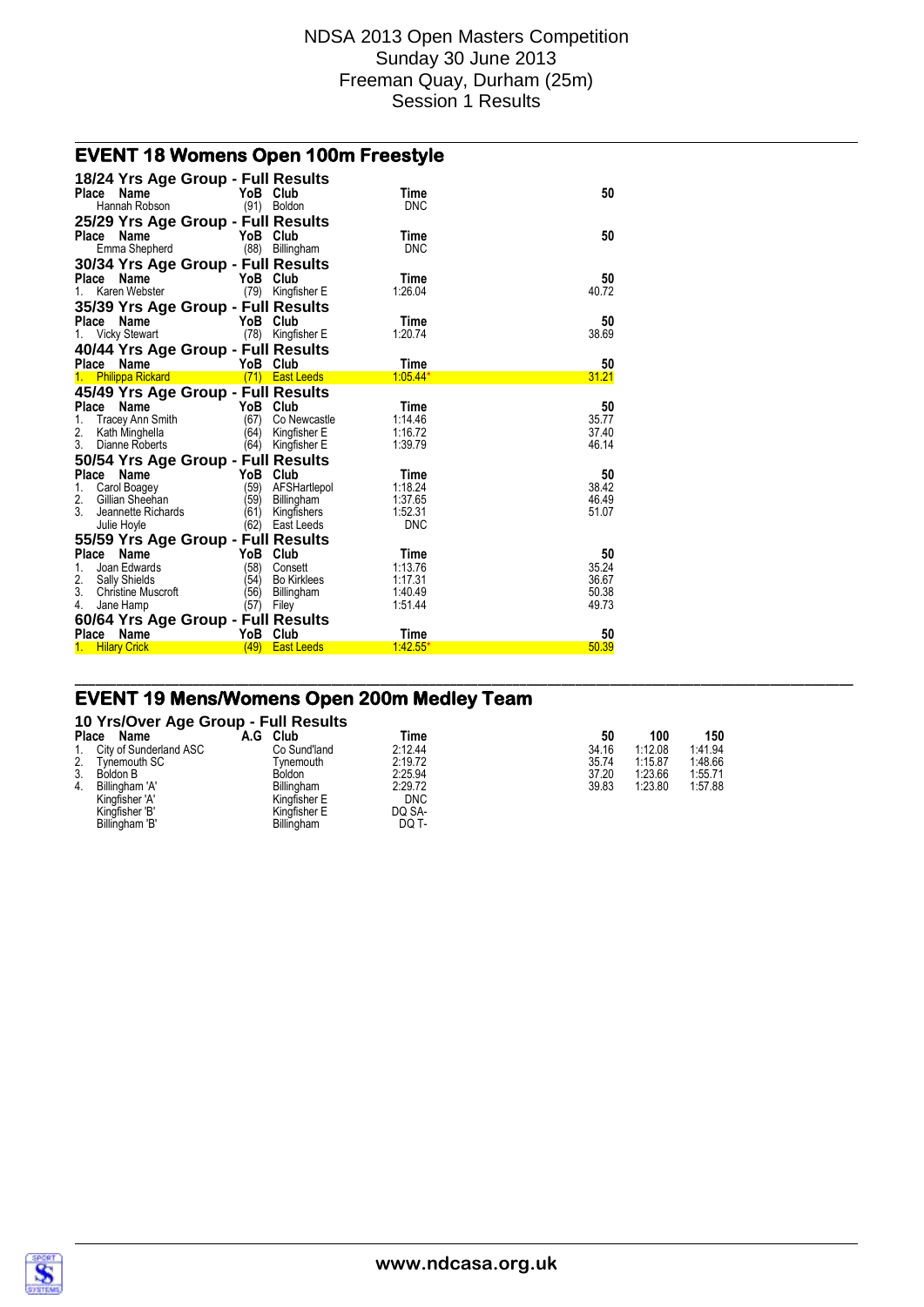### **EVENT 18 Womens Open 100m Freestyle**

| 18/24 Yrs Age Group - Full Results<br>Place Name<br>Hannah Robson                                                                                          | YoB Club                                 | (91) Boldon                                                  | Time<br><b>DNC</b>                                  | 50                                     |
|------------------------------------------------------------------------------------------------------------------------------------------------------------|------------------------------------------|--------------------------------------------------------------|-----------------------------------------------------|----------------------------------------|
| 25/29 Yrs Age Group - Full Results<br>Place<br>Name<br>Emma Shepherd                                                                                       | YoB Club                                 | (88) Billingham                                              | Time<br><b>DNC</b>                                  | 50                                     |
| 30/34 Yrs Age Group - Full Results<br>Place Name<br>Karen Webster                                                                                          | YoB Club<br>(79)                         | Kingfisher E                                                 | Time<br>1:26.04                                     | 50<br>40.72                            |
| 35/39 Yrs Age Group - Full Results<br>Place Name<br>1. Vicky Stewart                                                                                       | YoB Club                                 | (78) Kingfisher E                                            | Time<br>1:20.74                                     | 50<br>38.69                            |
| 40/44 Yrs Age Group - Full Results<br>Place Name<br>1. Philippa Rickard                                                                                    | YoB Club                                 | (71) East Leeds                                              | Time<br>$1:05.44*$                                  | 50<br>31.21                            |
| 45/49 Yrs Age Group - Full Results<br>Place Name<br>Tracey Ann Smith<br>1.<br>2.<br>Kath Minghella<br>3.<br>Dianne Roberts                                 | YoB<br>(67)<br>(64)<br>(64)              | Club<br>Co Newcastle<br>Kingfisher E<br>Kingfisher E         | Time<br>1.14.46<br>1:16.72<br>1:39.79               | 50<br>35.77<br>37.40<br>46.14          |
| 50/54 Yrs Age Group - Full Results<br>Place Name<br>1.<br>Carol Boagey<br>2.<br>Gillian Sheehan<br>3.<br>Jeannette Richards<br>Julie Hoyle                 | YoB Club<br>(59)<br>(59)<br>(61)<br>(62) | AFSHartlepol<br>Billingham<br>Kingfishers<br>East Leeds      | Time<br>1:18.24<br>1:37.65<br>1:52.31<br><b>DNC</b> | 50<br>38.42<br>46.49<br>51.07          |
| 55/59 Yrs Age Group - Full Results<br>Place Name<br>1.<br>Joan Edwards<br>2.<br><b>Sally Shields</b><br>3.<br><b>Christine Muscroft</b><br>Jane Hamp<br>4. | YoB<br>(58)<br>(54)<br>(56)<br>(57)      | Club<br>Consett<br><b>Bo Kirklees</b><br>Billingham<br>Filey | Time<br>1:13.76<br>1:17.31<br>1:40.49<br>1:51.44    | 50<br>35.24<br>36.67<br>50.38<br>49.73 |
| 60/64 Yrs Age Group - Full Results<br>Place Name<br>1. Hilary Crick                                                                                        | YoB<br>(49)                              | Club<br><b>East Leeds</b>                                    | Time<br>1.42.55                                     | 50<br>50.39                            |

### **EVENT 19 Mens/Womens Open 200m Medley Team**

#### **10 Yrs/Over Age Group - Full Results**

| Place | Name                   | A.G | Club              | Time       |       | 50 | 100     | 150     |
|-------|------------------------|-----|-------------------|------------|-------|----|---------|---------|
|       | City of Sunderland ASC |     | Co Sund'land      | 2:12.44    | 34.16 |    | 1:12.08 | 1.41.94 |
| 2.    | Tynemouth SC           |     | Tvnemouth         | 2:19.72    | 35.74 |    | 1:15.87 | 1.48.66 |
| 3.    | Boldon B               |     | Boldon            | 2:25.94    | 37.20 |    | 1:23.66 | 1:55.71 |
| 4.    | Billingham 'A'         |     | <b>Billingham</b> | 2:29.72    | 39.83 |    | 1:23.80 | 1.57.88 |
|       | Kingfisher 'A'         |     | Kingfisher E      | <b>DNC</b> |       |    |         |         |
|       | Kingfisher 'B'         |     | Kingfisher E      | DQ SA-     |       |    |         |         |
|       | Billingham 'B'         |     | Billingham        | DQ T-      |       |    |         |         |

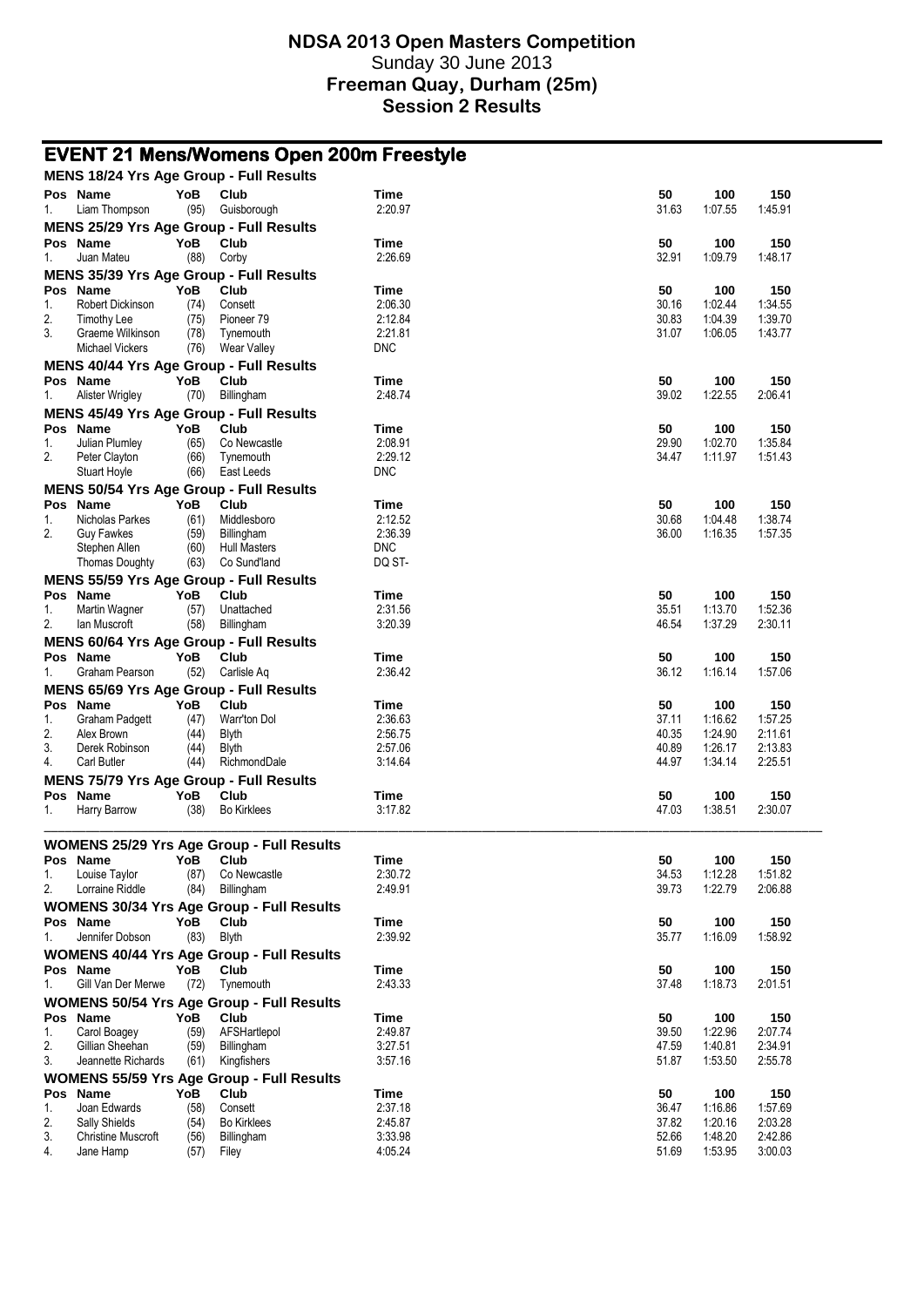|          |                                                            |              | <b>EVENT 21 Mens/Womens Open 200m Freestyle</b>          |                        |                |                    |                    |
|----------|------------------------------------------------------------|--------------|----------------------------------------------------------|------------------------|----------------|--------------------|--------------------|
|          | MENS 18/24 Yrs Age Group - Full Results                    |              |                                                          |                        |                |                    |                    |
| 1.       | Pos Name<br>Liam Thompson                                  | YoB<br>(95)  | Club<br>Guisborough                                      | Time<br>2:20.97        | 50<br>31.63    | 100<br>1:07.55     | 150<br>1:45.91     |
|          |                                                            |              | MENS 25/29 Yrs Age Group - Full Results                  |                        |                |                    |                    |
|          | Pos Name                                                   | YoB<br>(88)  | Club                                                     | Time<br>2:26.69        | 50<br>32.91    | 100<br>1:09.79     | 150                |
| 1.       | Juan Mateu                                                 |              | Corby                                                    |                        |                |                    | 1.48.17            |
|          | <b>MENS 35/39 Yrs Age Group - Full Results</b><br>Pos Name | YoB          | Club                                                     | Time                   | 50             | 100                | 150                |
| 1.       | Robert Dickinson                                           | (74)         | Consett                                                  | 2:06.30                | 30.16          | 1:02.44            | 1:34.55            |
| 2.       | Timothy Lee                                                | (75)         | Pioneer 79                                               | 2:12.84                | 30.83          | 1:04.39            | 1:39.70            |
| 3.       | Graeme Wilkinson                                           | (78)         | Tynemouth                                                | 2:21.81                | 31.07          | 1:06.05            | 1:43.77            |
|          | <b>Michael Vickers</b>                                     | (76)         | Wear Valley                                              | <b>DNC</b>             |                |                    |                    |
|          | MENS 40/44 Yrs Age Group - Full Results                    |              |                                                          |                        |                |                    |                    |
|          | Pos Name                                                   | YoB          | Club                                                     | Time                   | 50             | 100                | 150                |
| 1.       | Alister Wrigley                                            | (70)         | Billingham                                               | 2:48.74                | 39.02          | 1:22.55            | 2:06.41            |
|          |                                                            |              | MENS 45/49 Yrs Age Group - Full Results                  |                        |                |                    |                    |
|          | Pos Name                                                   | YoB          | Club<br>Co Newcastle                                     | Time<br>2:08.91        | 50<br>29.90    | 100<br>1:02.70     | 150                |
| 1.<br>2. | Julian Plumley<br>Peter Clayton                            | (65)<br>(66) | Tynemouth                                                | 2:29.12                | 34.47          | 1:11.97            | 1:35.84<br>1.51.43 |
|          | <b>Stuart Hoyle</b>                                        | (66)         | East Leeds                                               | <b>DNC</b>             |                |                    |                    |
|          |                                                            |              | <b>MENS 50/54 Yrs Age Group - Full Results</b>           |                        |                |                    |                    |
|          | Pos Name                                                   | YoB          | Club                                                     | Time                   | 50             | 100                | 150                |
| 1.       | Nicholas Parkes                                            | (61)         | Middlesboro                                              | 2:12.52                | 30.68          | 1:04.48            | 1.38.74            |
| 2.       | <b>Guy Fawkes</b>                                          | (59)         | Billingham                                               | 2:36.39                | 36.00          | 1:16.35            | 1:57.35            |
|          | Stephen Allen                                              | (60)         | <b>Hull Masters</b>                                      | <b>DNC</b>             |                |                    |                    |
|          | <b>Thomas Doughty</b>                                      | (63)         | Co Sund'land                                             | DQ ST-                 |                |                    |                    |
|          | Pos Name                                                   | YoB          | <b>MENS 55/59 Yrs Age Group - Full Results</b><br>Club   |                        | 50             |                    | 150                |
| 1.       | Martin Wagner                                              | (57)         | Unattached                                               | Time<br>2:31.56        | 35.51          | 100<br>1:13.70     | 1:52.36            |
| 2.       | lan Muscroft                                               | (58)         | Billingham                                               | 3:20.39                | 46.54          | 1:37.29            | 2:30.11            |
|          |                                                            |              | <b>MENS 60/64 Yrs Age Group - Full Results</b>           |                        |                |                    |                    |
|          | Pos Name                                                   | <b>YoB</b>   | Club                                                     | Time                   | 50             | 100                | 150                |
| 1.       | Graham Pearson                                             | (52)         | Carlisle Aq                                              | 2:36.42                | 36.12          | 1:16.14            | 1:57.06            |
|          | MENS 65/69 Yrs Age Group - Full Results                    |              |                                                          |                        |                |                    |                    |
|          | Pos Name                                                   | YoB          | Club                                                     | Time                   | 50             | 100                | 150                |
| 1.       | <b>Graham Padgett</b>                                      | (47)         | Warr'ton Dol                                             | 2.36.63                | 37.11          | 1:16.62            | 1:57.25            |
| 2.<br>3. | Alex Brown<br>Derek Robinson                               | (44)<br>(44) | <b>Blyth</b><br><b>Blyth</b>                             | 2:56.75<br>2:57.06     | 40.35<br>40.89 | 1:24.90<br>1:26.17 | 2:11.61<br>2:13.83 |
| 4.       | <b>Carl Butler</b>                                         | (44)         | RichmondDale                                             | 3:14.64                | 44.97          | 1:34.14            | 2:25.51            |
|          |                                                            |              | MENS 75/79 Yrs Age Group - Full Results                  |                        |                |                    |                    |
|          | Pos Name                                                   | YoB          | Club                                                     | Time                   | 50             | 100                | 150                |
| 1.       | Harry Barrow                                               | (38)         | <b>Bo Kirklees</b>                                       | 3:17.82                | 47.03          | 1:38.51            | 2:30.07            |
|          |                                                            |              | <b>WOMENS 25/29 Yrs Age Group - Full Results</b>         |                        |                |                    |                    |
|          | Pos Name                                                   | YoB          | Club                                                     | Time                   | 50             | 100                | 150                |
| 1.       | Louise Taylor                                              | (87)         | Co Newcastle                                             | 2:30.72                | 34.53          | 1:12.28            | 1:51.82            |
| 2.       | Lorraine Riddle                                            | (84)         | Billingham                                               | 2:49.91                | 39.73          | 1:22.79            | 2:06.88            |
|          |                                                            |              | <b>WOMENS 30/34 Yrs Age Group - Full Results</b>         |                        |                |                    |                    |
|          | Pos Name                                                   | YoB          | Club                                                     | Time                   | 50             | 100                | 150                |
| 1.       | Jennifer Dobson                                            | (83)         | <b>Blyth</b>                                             | 2:39.92                | 35.77          | 1:16.09            | 1:58.92            |
|          |                                                            |              | <b>WOMENS 40/44 Yrs Age Group - Full Results</b>         |                        |                |                    |                    |
|          | Pos Name<br>Gill Van Der Merwe                             | YoB<br>(72)  | Club                                                     | <b>Time</b><br>2:43.33 | 50<br>37.48    | 100<br>1:18.73     | 150<br>2:01.51     |
| 1.       |                                                            |              | Tynemouth                                                |                        |                |                    |                    |
|          | Pos Name                                                   | YoB          | <b>WOMENS 50/54 Yrs Age Group - Full Results</b><br>Club | Time                   | 50             | 100                | 150                |
| 1.       | Carol Boagey                                               | (59)         | AFSHartlepol                                             | 2:49.87                | 39.50          | 1:22.96            | 2:07.74            |
| 2.       | Gillian Sheehan                                            | (59)         | Billingham                                               | 3:27.51                | 47.59          | 1:40.81            | 2:34.91            |
| 3.       | Jeannette Richards                                         | (61)         | Kingfishers                                              | 3:57.16                | 51.87          | 1:53.50            | 2:55.78            |
|          |                                                            |              | <b>WOMENS 55/59 Yrs Age Group - Full Results</b>         |                        |                |                    |                    |
|          | Pos Name                                                   | YoB          | Club                                                     | Time                   | 50             | 100                | 150                |
| 1.       | Joan Edwards                                               | (58)         | Consett                                                  | 2:37.18                | 36.47          | 1:16.86            | 1:57.69            |
| 2.<br>3. | Sally Shields<br><b>Christine Muscroft</b>                 | (54)<br>(56) | <b>Bo Kirklees</b><br>Billingham                         | 2:45.87<br>3:33.98     | 37.82<br>52.66 | 1:20.16<br>1:48.20 | 2:03.28<br>2:42.86 |
| 4.       | Jane Hamp                                                  | (57)         | Filey                                                    | 4.05.24                | 51.69          | 1:53.95            | 3:00.03            |
|          |                                                            |              |                                                          |                        |                |                    |                    |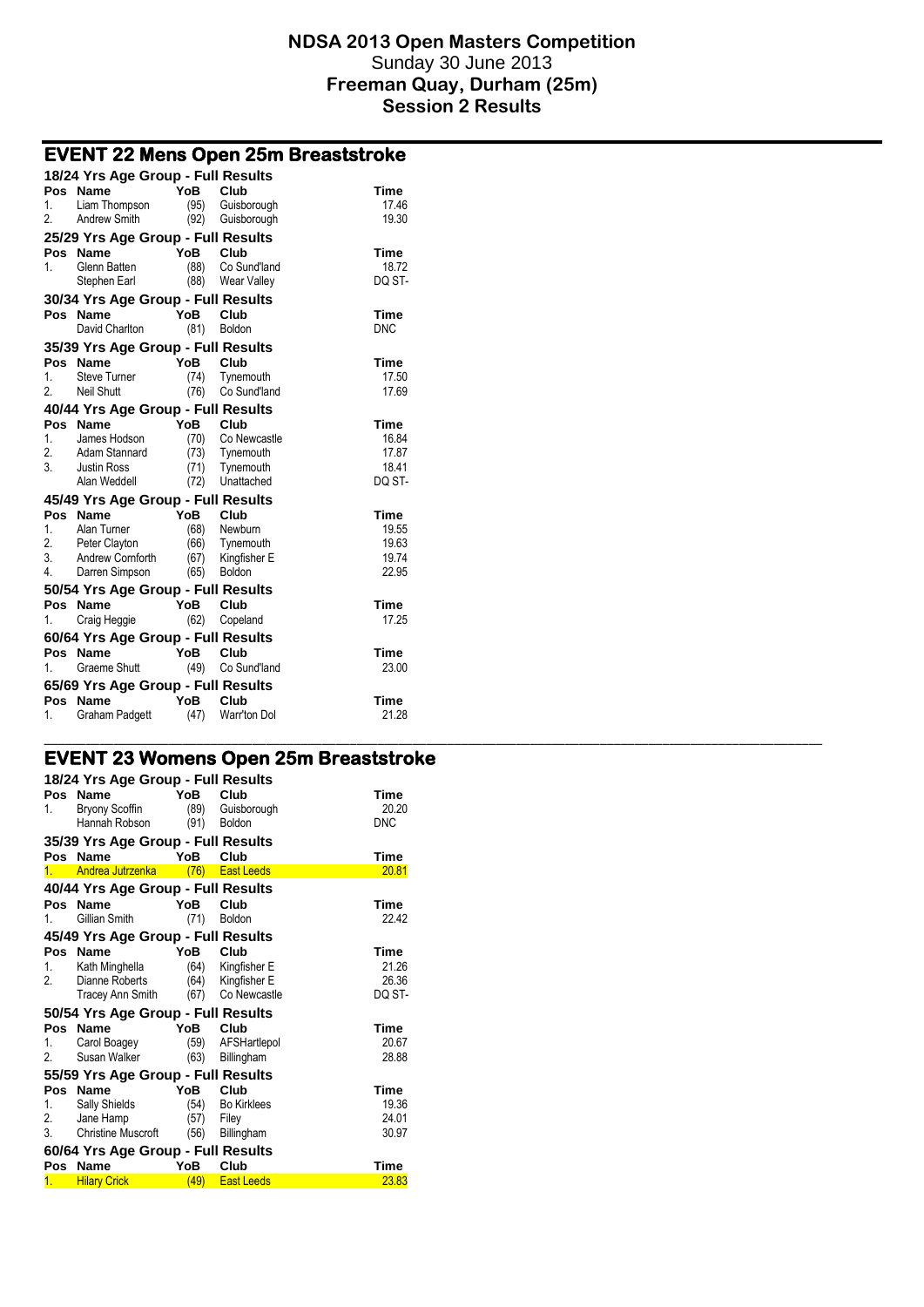\_\_\_\_\_\_\_\_\_\_\_\_\_\_\_\_\_\_\_\_\_\_\_\_\_\_\_\_\_\_\_\_\_\_\_\_\_\_\_\_\_\_\_\_\_\_\_\_\_\_\_\_\_\_\_\_\_\_\_\_\_\_\_\_\_\_\_\_\_\_\_\_\_\_\_\_\_\_\_\_\_\_\_\_\_\_\_\_\_\_\_\_\_\_\_\_\_\_\_\_\_\_\_\_\_\_\_\_\_\_\_\_

# **EVENT 22 Mens Open 25m Breaststroke**

|           | 18/24 Yrs Age Group - Full Results |             |                             |                      |
|-----------|------------------------------------|-------------|-----------------------------|----------------------|
| 1.        | Pos Name<br>Liam Thompson          | YoB<br>(95) | Club<br>Guisborough         | <b>Time</b><br>17.46 |
| 2.        | <b>Andrew Smith</b>                | (92)        | Guisborough                 | 19.30                |
|           | 25/29 Yrs Age Group - Full Results |             |                             |                      |
| Pos       | Name                               | YoB         | Club                        | Time                 |
| 1.        | Glenn Batten                       | (88)        | Co Sund'land                | 18.72                |
|           | Stephen Earl                       | (88)        | <b>Wear Valley</b>          | DQ ST-               |
|           | 30/34 Yrs Age Group - Full Results |             |                             |                      |
|           | Pos Name                           | YoB         | Club                        | <b>Time</b>          |
|           | David Charlton                     | (81)        | Boldon                      | <b>DNC</b>           |
|           | 35/39 Yrs Age Group - Full Results |             |                             |                      |
|           | Pos Name                           | YoB Club    |                             | <b>Time</b>          |
| 1.        | <b>Steve Turner</b>                | (74)        | Tynemouth                   | 17.50                |
| 2.        | Neil Shutt                         | (76)        | Co Sund'land                | 17.69                |
|           | 40/44 Yrs Age Group - Full Results |             |                             |                      |
| Pos       | <b>Name</b>                        | YoB         | Club                        | <b>Time</b>          |
| 1.<br>2.  | James Hodson<br>Adam Stannard      | (70)        | Co Newcastle                | 16.84<br>17.87       |
| 3.        | <b>Justin Ross</b>                 | (71)        | (73) Tynemouth<br>Tynemouth | 18.41                |
|           | Alan Weddell                       | (72)        | Unattached                  | DQ ST-               |
|           | 45/49 Yrs Age Group - Full Results |             |                             |                      |
| Pos       | <b>Name</b>                        | YoB         | Club                        | <b>Time</b>          |
| 1.        | Alan Turner                        | (68)        | Newburn                     | 19.55                |
| 2.        | Peter Clayton                      |             | (66) Tynemouth              | 19.63                |
| 3.        | Andrew Cornforth                   | (67)        | Kingfisher E                | 19.74                |
| 4.        | Darren Simpson                     |             | (65) Boldon                 | 22.95                |
|           | 50/54 Yrs Age Group - Full Results |             |                             |                      |
| Pos       | <b>Name</b>                        | YoB         | Club                        | <b>Time</b>          |
| 1.        | Craig Heggie                       | (62)        | Copeland                    | 17.25                |
|           | 60/64 Yrs Age Group - Full Results |             |                             |                      |
| 1.        | Pos Name                           | YoB         | Club                        | <b>Time</b><br>23.00 |
|           | <b>Graeme Shutt</b>                | (49)        | Co Sund'land                |                      |
|           | 65/69 Yrs Age Group - Full Results |             |                             |                      |
| Pos<br>1. | <b>Name</b>                        | YoB         | Club<br>Warr'ton Dol        | Time<br>21.28        |
|           | <b>Graham Padgett</b>              | (47)        |                             |                      |

### **EVENT 23 Womens Open 25m Breaststroke**

|     | 18/24 Yrs Age Group - Full Results |      |                    |             |
|-----|------------------------------------|------|--------------------|-------------|
|     | Pos Name                           | YoB  | Club               | Time        |
| 1.  | <b>Bryony Scoffin</b>              | (89) | Guisborough        | 20.20       |
|     | Hannah Robson                      | (91) | <b>Boldon</b>      | <b>DNC</b>  |
|     | 35/39 Yrs Age Group - Full Results |      |                    |             |
|     | Pos Name                           | YoB  | Club               | Time        |
| 1.  | Andrea Jutrzenka                   | (76) | <b>East Leeds</b>  | 20.81       |
|     | 40/44 Yrs Age Group - Full Results |      |                    |             |
|     | Pos Name                           | YoB  | Club               | Time        |
| 1   | Gillian Smith                      | (71) | <b>Boldon</b>      | 22.42       |
|     | 45/49 Yrs Age Group - Full Results |      |                    |             |
|     | Pos Name                           | YoB  | Club               | Time        |
| 1.  | Kath Minghella                     | (64) | Kingfisher E       | 21.26       |
| 2.  | Dianne Roberts                     | (64) | Kingfisher E       | 26.36       |
|     | <b>Tracey Ann Smith</b>            | (67) | Co Newcastle       | DQ ST-      |
|     | 50/54 Yrs Age Group - Full Results |      |                    |             |
|     | Pos Name                           | YoB  | Club               | Time        |
| 1.  | Carol Boagey                       | (59) | AFSHartlepol       | 20.67       |
| 2.  | Susan Walker                       | (63) | Billingham         | 28.88       |
|     | 55/59 Yrs Age Group - Full Results |      |                    |             |
|     | Pos Name                           | YoB  | Club               | <b>Time</b> |
| 1.  | Sally Shields                      | (54) | <b>Bo Kirklees</b> | 19.36       |
| 2.  | Jane Hamp                          | (57) | Filey              | 24.01       |
| 3.  | <b>Christine Muscroft</b>          | (56) | Billingham         | 30.97       |
|     | 60/64 Yrs Age Group - Full Results |      |                    |             |
| Pos | <b>Name</b>                        | YoB  | Club               | Time        |
| 1.  | <b>Hilary Crick</b>                | (49) | <b>East Leeds</b>  | 23.83       |
|     |                                    |      |                    |             |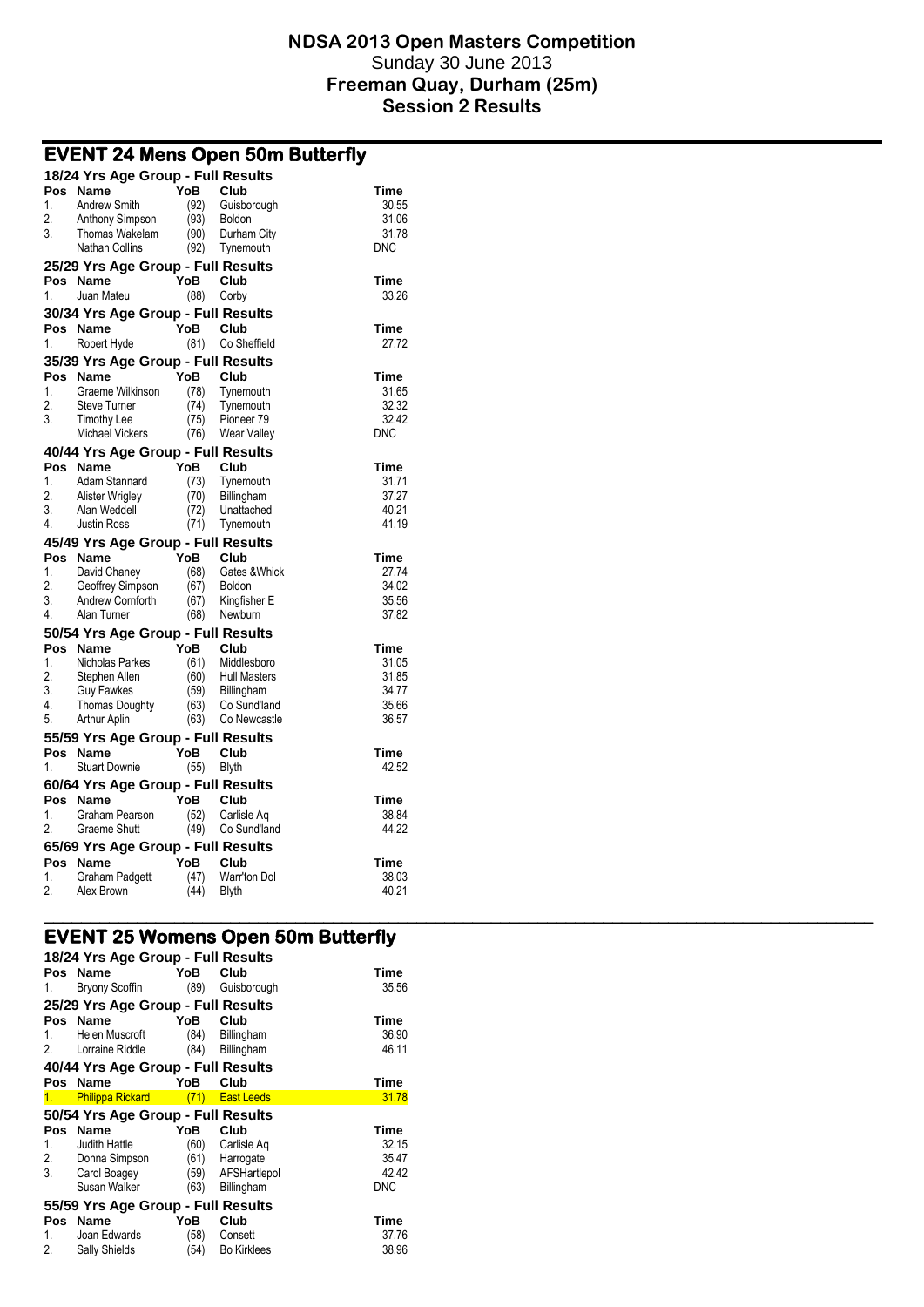|    | EVENT 24 Mens Open Suni Butterity  |      |                     |            |
|----|------------------------------------|------|---------------------|------------|
|    | 18/24 Yrs Age Group - Full Results |      |                     |            |
|    | Pos Name                           | YoB  | Club                | Time       |
| 1. | <b>Andrew Smith</b>                | (92) | Guisborough         | 30.55      |
| 2. | Anthony Simpson                    | (93) | Boldon              | 31.06      |
| 3. | Thomas Wakelam                     | (90) | Durham City         | 31.78      |
|    | <b>Nathan Collins</b>              | (92) | Tynemouth           | <b>DNC</b> |
|    | 25/29 Yrs Age Group - Full Results |      |                     |            |
|    | Pos Name                           | YoB  | Club                | Time       |
| 1. | Juan Mateu                         | (88) | Corby               | 33.26      |
|    | 30/34 Yrs Age Group - Full Results |      |                     |            |
|    |                                    |      |                     |            |
|    | Pos Name                           | YoB  | Club                | Time       |
| 1. | Robert Hyde                        | (81) | Co Sheffield        | 27.72      |
|    | 35/39 Yrs Age Group - Full Results |      |                     |            |
|    | Pos Name                           | YoB  | Club                | Time       |
| 1. | Graeme Wilkinson                   | (78) | Tynemouth           | 31.65      |
| 2. | <b>Steve Turner</b>                | (74) | Tynemouth           | 32.32      |
| 3. | <b>Timothy Lee</b>                 | (75) | Pioneer 79          | 32.42      |
|    | <b>Michael Vickers</b>             | (76) | <b>Wear Valley</b>  | <b>DNC</b> |
|    | 40/44 Yrs Age Group - Full Results |      |                     |            |
|    | Pos Name                           | YoB  | Club                | Time       |
| 1. | Adam Stannard                      | (73) | Tynemouth           | 31.71      |
| 2. | Alister Wrigley                    | (70) | Billingham          | 37.27      |
| 3. | Alan Weddell                       | (72) | Unattached          | 40.21      |
| 4. | <b>Justin Ross</b>                 | (71) | Tynemouth           | 41.19      |
|    |                                    |      |                     |            |
|    | 45/49 Yrs Age Group - Full Results |      |                     |            |
|    | Pos Name                           | YoB  | Club                | Time       |
| 1. | David Chaney                       | (68) | Gates & Whick       | 27.74      |
| 2. | Geoffrey Simpson                   | (67) | <b>Boldon</b>       | 34.02      |
| 3. | Andrew Cornforth                   | (67) | Kingfisher E        | 35.56      |
| 4. | Alan Turner                        | (68) | Newburn             | 37.82      |
|    | 50/54 Yrs Age Group - Full Results |      |                     |            |
|    | Pos Name                           | YoB  | Club                | Time       |
| 1. | Nicholas Parkes                    | (61) | Middlesboro         | 31.05      |
| 2. | Stephen Allen                      | (60) | <b>Hull Masters</b> | 31.85      |
| 3. | <b>Guy Fawkes</b>                  | (59) | Billingham          | 34.77      |
| 4. | <b>Thomas Doughty</b>              | (63) | Co Sund'land        | 35.66      |
| 5. | Arthur Aplin                       | (63) | Co Newcastle        | 36.57      |
|    |                                    |      |                     |            |
|    | 55/59 Yrs Age Group - Full Results | YoB  |                     |            |
|    | Pos Name                           |      | Club                | Time       |
| 1. | <b>Stuart Downie</b>               | (55) | <b>Blyth</b>        | 42.52      |
|    | 60/64 Yrs Age Group - Full Results |      |                     |            |
|    | Pos Name                           | YoB  | Club                | Time       |
| 1. | Graham Pearson                     | (52) | Carlisle Aq         | 38.84      |
| 2. | Graeme Shutt                       | (49) | Co Sund'land        | 44.22      |
|    | 65/69 Yrs Age Group - Full Results |      |                     |            |
|    | Pos Name                           | YoB  | Club                | Time       |
| 1. | Graham Padgett                     | (47) | Warr'ton Dol        | 38.03      |
| 2. | Alex Brown                         | (44) | <b>Blyth</b>        | 40.21      |
|    |                                    |      |                     |            |
|    |                                    |      |                     |            |

# **EVENT 24 Mens Open 50m Butterfly**

# **EVENT 25 Womens Open 50m Butterfly**

|    | 18/24 Yrs Age Group - Full Results |            |                   |            |
|----|------------------------------------|------------|-------------------|------------|
|    | Pos Name                           | YoB        | Club              | Time       |
| 1. | Bryony Scoffin                     | (89)       | Guisborough       | 35.56      |
|    | 25/29 Yrs Age Group - Full Results |            |                   |            |
|    | Pos Name                           | YoB        | Club              | Time       |
| 1. | Helen Muscroft                     | (84)       | <b>Billingham</b> | 36.90      |
| 2. | Lorraine Riddle                    | (84)       | <b>Billingham</b> | 46.11      |
|    | 40/44 Yrs Age Group - Full Results |            |                   |            |
|    | Pos Name                           | YoB        | Club              | Time       |
|    | <b>Philippa Rickard</b>            | (71)       | <b>East Leeds</b> | 31.78      |
|    |                                    |            |                   |            |
|    | 50/54 Yrs Age Group - Full Results |            |                   |            |
|    | Pos Name                           | <b>YoB</b> | Club              | Time       |
| 1. | Judith Hattle                      | (60)       | Carlisle Ag       | 32.15      |
| 2. | Donna Simpson                      | (61)       | Harrogate         | 35.47      |
| 3. | Carol Boagey                       | (59)       | AFSHartlepol      | 42.42      |
|    | Susan Walker                       | (63)       | Billingham        | <b>DNC</b> |
|    | 55/59 Yrs Age Group - Full Results |            |                   |            |
|    | Pos Name                           | YoB        | Club              | Time       |
| 1. | Joan Edwards                       | (58)       | Consett           | 37.76      |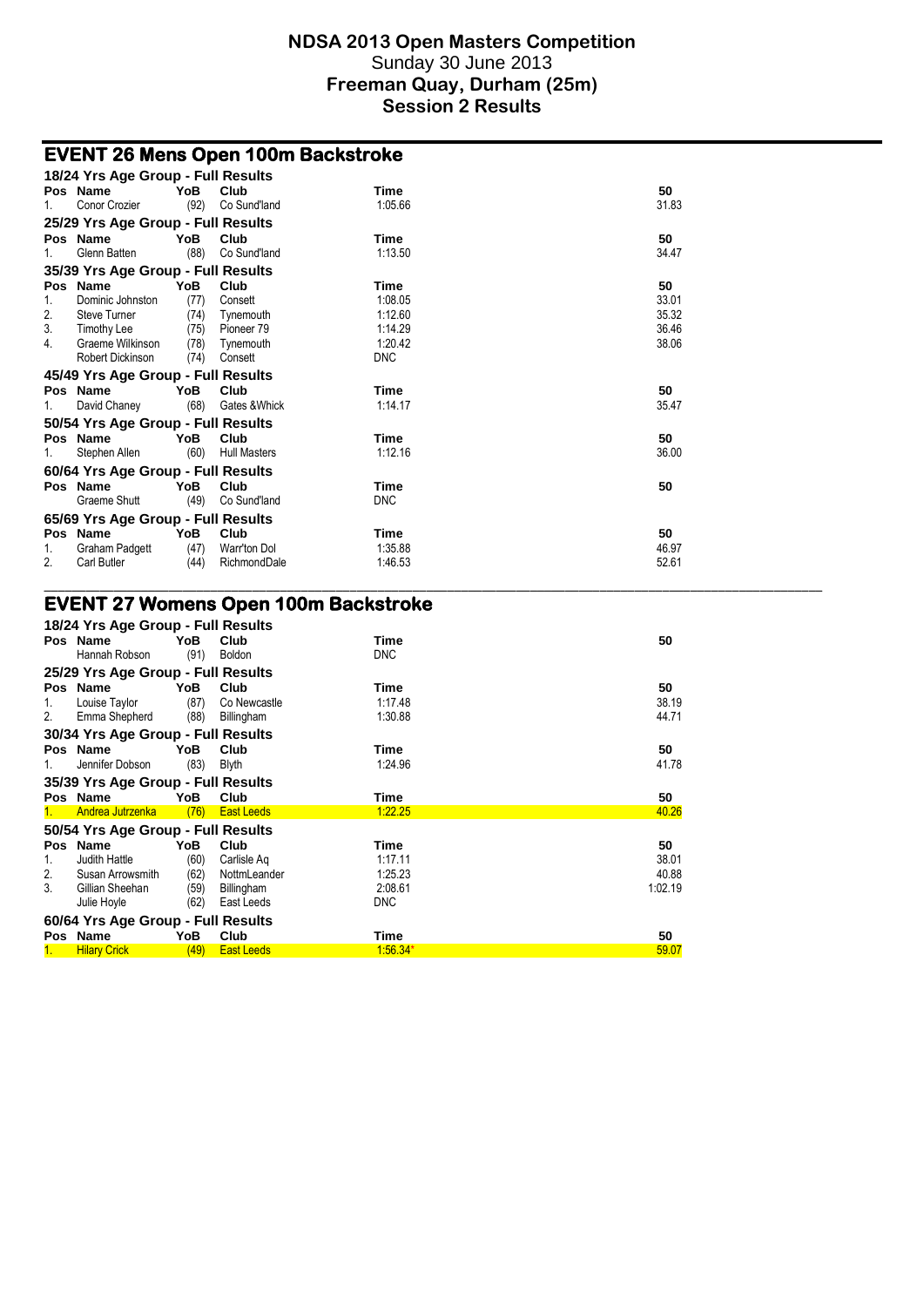# **EVENT 26 Mens Open 100m Backstroke**

|    | 18/24 Yrs Age Group - Full Results |      |                     |             |       |
|----|------------------------------------|------|---------------------|-------------|-------|
|    | Pos Name                           | YoB. | Club                | Time        | 50    |
| 1. | Conor Crozier                      | (92) | Co Sund'land        | 1.05.66     | 31.83 |
|    | 25/29 Yrs Age Group - Full Results |      |                     |             |       |
|    | Pos Name                           | YoB. | Club                | Time        | 50    |
| 1. | Glenn Batten                       | (88) | Co Sund'land        | 1:13.50     | 34.47 |
|    | 35/39 Yrs Age Group - Full Results |      |                     |             |       |
|    | Pos Name                           | YoB. | Club                | Time        | 50    |
| 1. | Dominic Johnston                   | (77) | Consett             | 1:08.05     | 33.01 |
| 2. | <b>Steve Turner</b>                | (74) | Tynemouth           | 1:12.60     | 35.32 |
| 3. | Timothy Lee                        | (75) | Pioneer 79          | 1:14.29     | 36.46 |
| 4. | Graeme Wilkinson                   | (78) | Tynemouth           | 1:20.42     | 38.06 |
|    | Robert Dickinson                   | (74) | Consett             | <b>DNC</b>  |       |
|    | 45/49 Yrs Age Group - Full Results |      |                     |             |       |
|    | Pos Name                           | YoB. | Club                | <b>Time</b> | 50    |
| 1. | David Chaney                       | (68) | Gates & Whick       | 1.14.17     | 35.47 |
|    | 50/54 Yrs Age Group - Full Results |      |                     |             |       |
|    | Pos Name                           | YoB. | Club                | Time        | 50    |
| 1. | Stephen Allen                      | (60) | <b>Hull Masters</b> | 1:12.16     | 36.00 |
|    | 60/64 Yrs Age Group - Full Results |      |                     |             |       |
|    | Pos Name                           | YoB  | Club                | Time        | 50    |
|    | Graeme Shutt                       | (49) | Co Sund'land        | <b>DNC</b>  |       |
|    | 65/69 Yrs Age Group - Full Results |      |                     |             |       |
|    | Pos Name                           | YoB  | Club                | Time        | 50    |
| 1. | <b>Graham Padgett</b>              | (47) | Warr'ton Dol        | 1.35.88     | 46.97 |
| 2. | Carl Butler                        | (44) | RichmondDale        | 1.46.53     | 52.61 |

\_\_\_\_\_\_\_\_\_\_\_\_\_\_\_\_\_\_\_\_\_\_\_\_\_\_\_\_\_\_\_\_\_\_\_\_\_\_\_\_\_\_\_\_\_\_\_\_\_\_\_\_\_\_\_\_\_\_\_\_\_\_\_\_\_\_\_\_\_\_\_\_\_\_\_\_\_\_\_\_\_\_\_\_\_\_\_\_\_\_\_\_\_\_\_\_\_\_\_\_\_\_\_\_\_\_\_\_\_\_\_\_

#### **EVENT 27 Womens Open 100m Backstroke**

|    | 18/24 Yrs Age Group - Full Results |      |                   |            |                           |
|----|------------------------------------|------|-------------------|------------|---------------------------|
|    | Pos Name                           | YoB  | Club              | Time       | 50                        |
|    | Hannah Robson                      | (91) | Boldon            | <b>DNC</b> |                           |
|    | 25/29 Yrs Age Group - Full Results |      |                   |            |                           |
|    | Pos Name                           | YoB  | Club              | Time       | 50                        |
| 1. | Louise Taylor                      | (87) | Co Newcastle      | 1:17.48    | 38.19                     |
| 2. | Emma Shepherd                      | (88) | Billingham        | 1:30.88    | 44.71                     |
|    | 30/34 Yrs Age Group - Full Results |      |                   |            |                           |
|    | Pos Name                           | YoB  | Club              | Time       | 50                        |
|    | Jennifer Dobson                    | (83) | <b>Blyth</b>      | 1:24.96    | 41.78                     |
|    | 35/39 Yrs Age Group - Full Results |      |                   |            |                           |
|    |                                    |      |                   |            |                           |
|    | Pos Name                           | YoB  | Club              | Time       | 50                        |
|    | Andrea Jutrzenka                   | (76) | <b>East Leeds</b> | 1:22.25    | 40.26                     |
|    | 50/54 Yrs Age Group - Full Results |      |                   |            |                           |
|    | Pos Name                           | YoB  | Club              | Time       | 50                        |
| 1. | Judith Hattle                      | (60) | Carlisle Ag       | 1:17.11    |                           |
| 2. | Susan Arrowsmith                   | (62) | NottmLeander      | 1:25.23    |                           |
| 3. | Gillian Sheehan                    | (59) | Billingham        | 2:08.61    | 38.01<br>40.88<br>1:02.19 |
|    | Julie Hoyle                        | (62) | East Leeds        | <b>DNC</b> |                           |
|    | 60/64 Yrs Age Group - Full Results |      |                   |            |                           |
|    | Pos Name                           | YoB. | Club              | Time       | 50                        |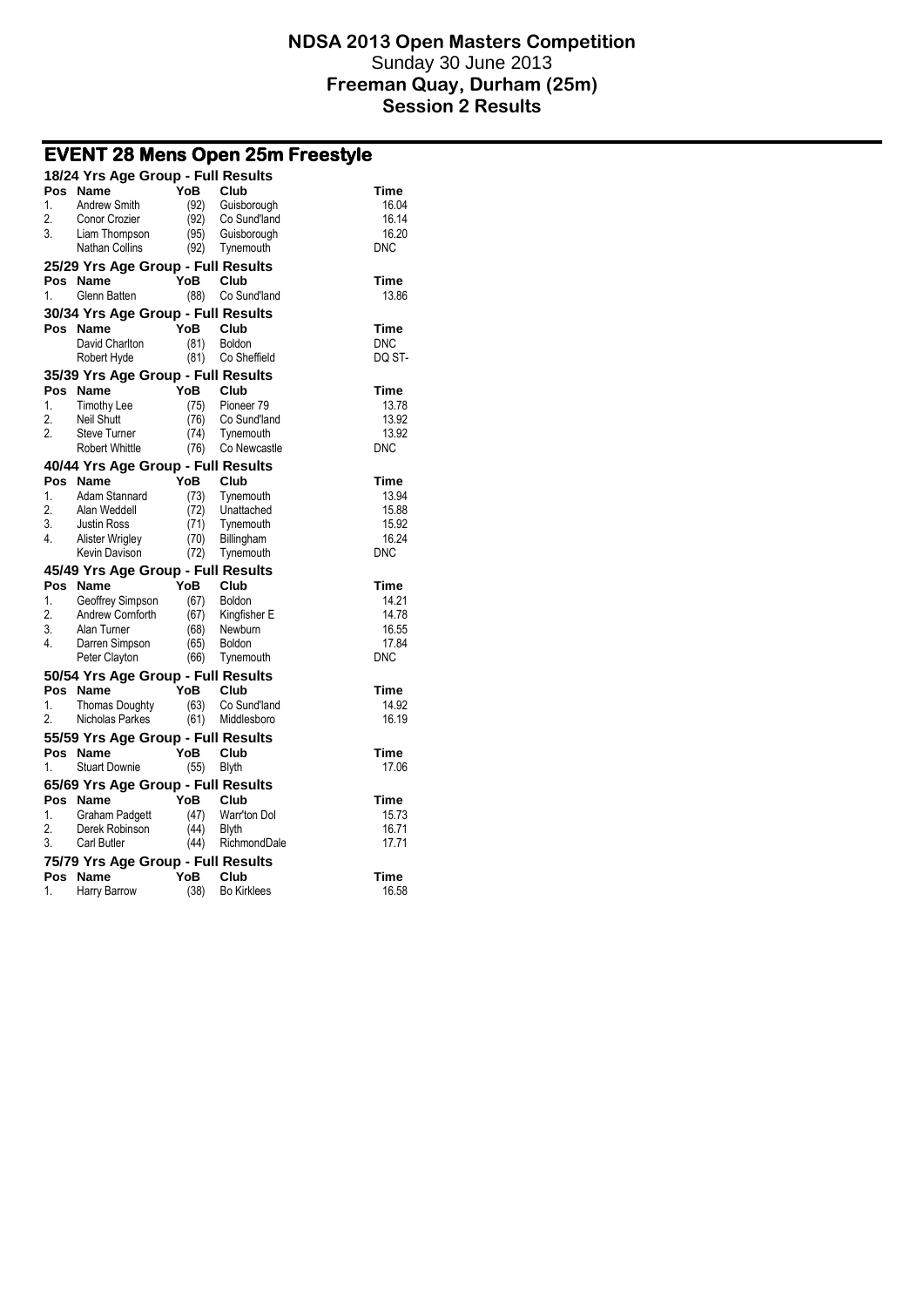| <b>EVENT 28 Mens Open 25m Freestyle</b> |                                            |              |                         |                |  |  |
|-----------------------------------------|--------------------------------------------|--------------|-------------------------|----------------|--|--|
|                                         | 18/24 Yrs Age Group - Full Results         |              |                         |                |  |  |
| Pos                                     | Name                                       | <b>YoB</b>   | Club                    | Time           |  |  |
| 1.                                      | Andrew Smith                               | (92)         | Guisborough             | 16.04          |  |  |
| 2.                                      | Conor Crozier                              | (92)         | Co Sund'land            | 16.14          |  |  |
| 3.                                      | Liam Thompson                              | (95)         | Guisborough             | 16.20          |  |  |
|                                         | Nathan Collins                             | (92)         | Tynemouth               | <b>DNC</b>     |  |  |
|                                         | 25/29 Yrs Age Group - Full Results         |              |                         |                |  |  |
| Pos                                     | <b>Name</b>                                | YoB          | Club                    | Time           |  |  |
| 1.                                      | Glenn Batten                               | (88)         | Co Sund'land            | 13.86          |  |  |
|                                         | 30/34 Yrs Age Group - Full Results         |              |                         |                |  |  |
|                                         | Pos Name                                   | YoB          | Club                    | Time           |  |  |
|                                         | David Charlton                             | (81)         | Boldon                  | <b>DNC</b>     |  |  |
|                                         | Robert Hyde                                | (81)         | Co Sheffield            | DQ ST-         |  |  |
|                                         | 35/39 Yrs Age Group - Full Results         |              |                         |                |  |  |
| Pos                                     | Name                                       | YoB          | Club                    | Time           |  |  |
| 1.                                      | <b>Timothy Lee</b>                         | (75)         | Pioneer <sub>79</sub>   | 13.78          |  |  |
| 2.                                      | <b>Neil Shutt</b>                          | (76)         | Co Sund'land            | 13.92          |  |  |
| $\overline{2}$ .                        | <b>Steve Turner</b>                        | (74)         | Tynemouth               | 13.92          |  |  |
|                                         | <b>Robert Whittle</b>                      | (76)         | Co Newcastle            | <b>DNC</b>     |  |  |
|                                         | 40/44 Yrs Age Group - Full Results         |              |                         |                |  |  |
| Pos                                     | Name                                       | YoB          | Club                    | <b>Time</b>    |  |  |
| 1.                                      | Adam Stannard                              | (73)         | Tynemouth               | 13.94          |  |  |
| 2.                                      | Alan Weddell                               | (72)         | Unattached              | 15.88          |  |  |
| 3.                                      | <b>Justin Ross</b>                         | (71)         | Tynemouth               | 15.92<br>16.24 |  |  |
| 4.                                      | <b>Alister Wrigley</b><br>Kevin Davison    | (70)<br>(72) | Billingham<br>Tynemouth | <b>DNC</b>     |  |  |
|                                         |                                            |              |                         |                |  |  |
| Pos                                     | 45/49 Yrs Age Group - Full Results<br>Name | <b>YoB</b>   | Club                    | <b>Time</b>    |  |  |
| 1.                                      | Geoffrey Simpson                           | (67)         | Boldon                  | 14.21          |  |  |
| $\overline{2}$ .                        | Andrew Cornforth                           | (67)         | Kingfisher E            | 14.78          |  |  |
| 3.                                      | Alan Turner                                | (68)         | Newburn                 | 16.55          |  |  |
| 4.                                      | Darren Simpson                             | (65)         | <b>Boldon</b>           | 17.84          |  |  |
|                                         | Peter Clayton                              | (66)         | Tynemouth               | <b>DNC</b>     |  |  |
|                                         | 50/54 Yrs Age Group - Full Results         |              |                         |                |  |  |
| Pos                                     | <b>Name</b>                                | <b>YoB</b>   | Club                    | <b>Time</b>    |  |  |
| 1.                                      | <b>Thomas Doughty</b>                      | (63)         | Co Sund'land            | 14.92          |  |  |
| 2.                                      | Nicholas Parkes                            | (61)         | Middlesboro             | 16.19          |  |  |
|                                         | 55/59 Yrs Age Group - Full Results         |              |                         |                |  |  |
|                                         | Pos Name                                   | YoB          | Club                    | Time           |  |  |
| 1.                                      | <b>Stuart Downie</b>                       | (55)         | <b>Blyth</b>            | 17.06          |  |  |
|                                         | 65/69 Yrs Age Group - Full Results         |              |                         |                |  |  |
|                                         | Pos Name                                   | YoB          | Club                    | <b>Time</b>    |  |  |
| $\mathbf{1}$                            | Graham Padgett                             | (47)         | Warr'ton Dol            | 15.73          |  |  |
| 2.                                      | Derek Robinson                             | (44)         | <b>Blyth</b>            | 16.71          |  |  |
| 3.                                      | Carl Butler                                | (44)         | RichmondDale            | 17.71          |  |  |
|                                         | 75/79 Yrs Age Group - Full Results         |              |                         |                |  |  |
| Pos                                     | Name                                       | YoB          | Club                    | Time           |  |  |
| 1.                                      | Harry Barrow                               | (38)         | <b>Bo Kirklees</b>      | 16.58          |  |  |
|                                         |                                            |              |                         |                |  |  |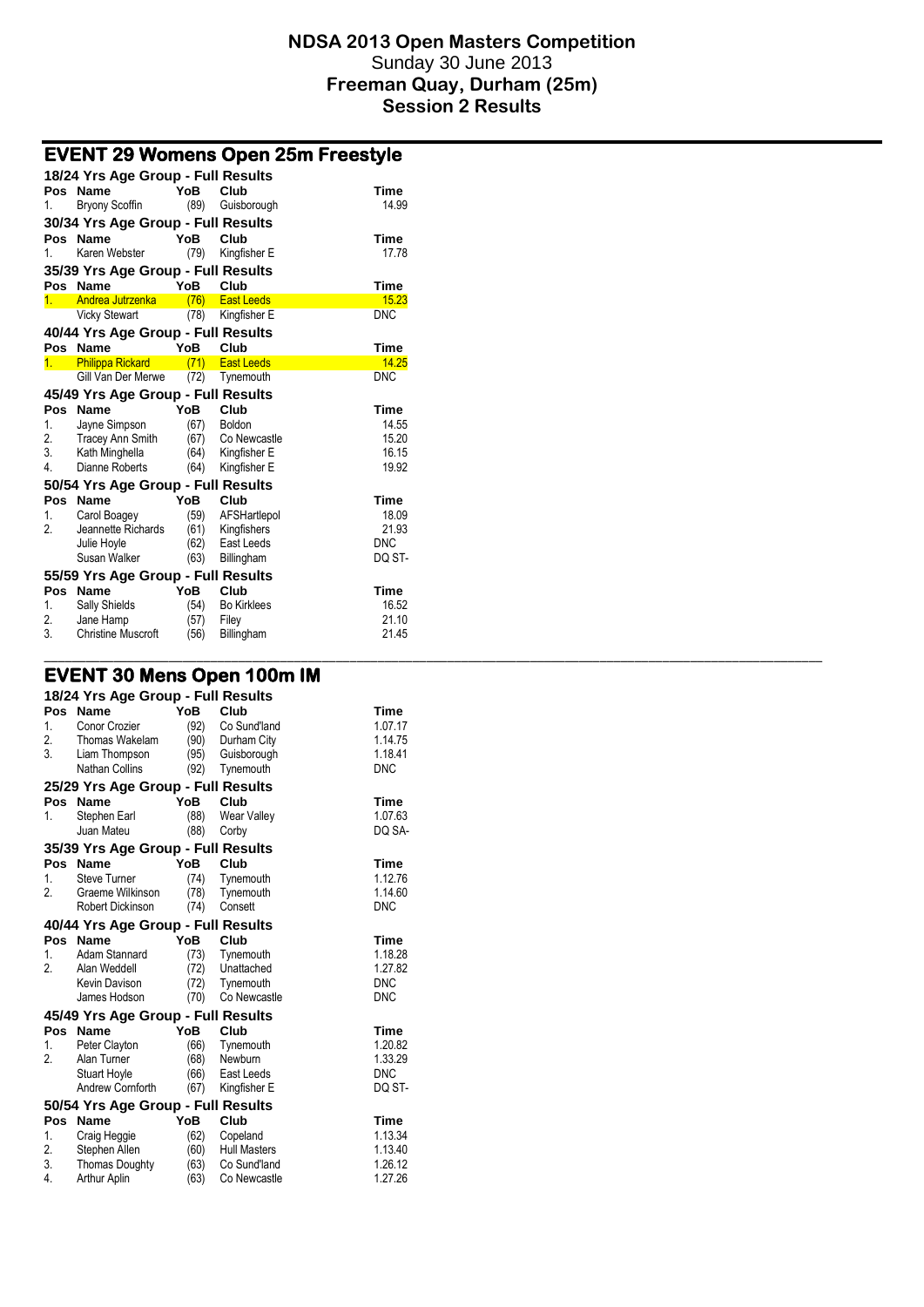\_\_\_\_\_\_\_\_\_\_\_\_\_\_\_\_\_\_\_\_\_\_\_\_\_\_\_\_\_\_\_\_\_\_\_\_\_\_\_\_\_\_\_\_\_\_\_\_\_\_\_\_\_\_\_\_\_\_\_\_\_\_\_\_\_\_\_\_\_\_\_\_\_\_\_\_\_\_\_\_\_\_\_\_\_\_\_\_\_\_\_\_\_\_\_\_\_\_\_\_\_\_\_\_\_\_\_\_\_\_\_\_

| <b>EVENT 29 Womens Open 25m Freestyle</b> |                                                   |              |                           |                     |  |  |
|-------------------------------------------|---------------------------------------------------|--------------|---------------------------|---------------------|--|--|
|                                           | 18/24 Yrs Age Group - Full Results                |              |                           |                     |  |  |
| Pos                                       | <b>Name</b>                                       | YoB          | Club                      | Time                |  |  |
| 1.                                        | <b>Bryony Scoffin</b>                             | (89)         | Guisborough               | 14.99               |  |  |
| 30/34 Yrs Age Group - Full Results        |                                                   |              |                           |                     |  |  |
| Pos                                       | <b>Name</b>                                       | YoB          | Club                      | <b>Time</b>         |  |  |
| 1.                                        | Karen Webster                                     | (79)         | Kingfisher E              | 17.78               |  |  |
|                                           | 35/39 Yrs Age Group - Full Results                |              |                           |                     |  |  |
| Pos                                       | <b>Name</b>                                       | YoB          | Club                      | Time                |  |  |
| 1.                                        | Andrea Jutrzenka                                  | (76)         | <b>East Leeds</b>         | 15.23               |  |  |
|                                           | <b>Vicky Stewart</b>                              |              | (78) Kingfisher E         | <b>DNC</b>          |  |  |
|                                           | 40/44 Yrs Age Group - Full Results                |              |                           |                     |  |  |
| Pos                                       | <b>Name</b>                                       | YoB          | Club                      | <b>Time</b>         |  |  |
| 1.                                        | <b>Philippa Rickard</b>                           | (71)         | <b>East Leeds</b>         | 14.25               |  |  |
|                                           | Gill Van Der Merwe                                | (72)         | Tynemouth                 | <b>DNC</b>          |  |  |
|                                           | 45/49 Yrs Age Group - Full Results                |              |                           |                     |  |  |
| Pos                                       | <b>Name</b>                                       | YoB          | Club                      | Time                |  |  |
| 1.                                        | Jayne Simpson                                     | (67)         | Boldon                    | 14.55               |  |  |
| 2.                                        | <b>Tracey Ann Smith</b>                           | (67)         | Co Newcastle              | 15.20               |  |  |
| 3.                                        | Kath Minghella                                    | (64)         | Kingfisher E              | 16.15               |  |  |
| 4.                                        | Dianne Roberts                                    | (64)         | Kingfisher E              | 19.92               |  |  |
|                                           | 50/54 Yrs Age Group - Full Results                |              |                           |                     |  |  |
| Pos                                       | Name                                              | YoB          | Club                      | Time                |  |  |
| 1.<br>2.                                  | Carol Boagey                                      | (59)         | AFSHartlepol              | 18.09               |  |  |
|                                           | Jeannette Richards<br>Julie Hoyle                 | (61)<br>(62) | Kingfishers<br>East Leeds | 21.93<br><b>DNC</b> |  |  |
|                                           | Susan Walker                                      | (63)         | Billingham                | DQ ST-              |  |  |
|                                           |                                                   |              |                           |                     |  |  |
| Pos                                       | 55/59 Yrs Age Group - Full Results<br><b>Name</b> | YoB          | Club                      | Time                |  |  |
| 1.                                        | Sally Shields                                     | (54)         | <b>Bo Kirklees</b>        | 16.52               |  |  |
| 2.                                        | Jane Hamp                                         | (57)         | Filey                     | 21.10               |  |  |
| 3.                                        | <b>Christine Muscroft</b>                         | (56)         | Billingham                | 21.45               |  |  |
|                                           |                                                   |              |                           |                     |  |  |

# **EVENT 30 Mens Open 100m IM**

|                             | 18/24 Yrs Age Group - Full Results                                                     |                                     |                                                                         |                                                        |
|-----------------------------|----------------------------------------------------------------------------------------|-------------------------------------|-------------------------------------------------------------------------|--------------------------------------------------------|
| Pos<br>1.<br>2.<br>3.       | Name<br>Conor Crozier<br>Thomas Wakelam<br>Liam Thompson<br><b>Nathan Collins</b>      | YoB<br>(92)<br>(90)<br>(92)         | Club<br>Co Sund'land<br>Durham City<br>(95) Guisborough<br>Tynemouth    | Time<br>1.07.17<br>1.14.75<br>1.18.41<br><b>DNC</b>    |
|                             | 25/29 Yrs Age Group - Full Results                                                     |                                     |                                                                         |                                                        |
| Pos<br>1.                   | Name<br>Stephen Earl<br>Juan Mateu                                                     | YoB<br>(88)<br>(88)                 | Club<br>Wear Valley<br>Corby                                            | Time<br>1.07.63<br>DQ SA-                              |
|                             | 35/39 Yrs Age Group - Full Results                                                     |                                     |                                                                         |                                                        |
| Pos<br>1.<br>2.             | <b>Name</b><br><b>Steve Turner</b><br>Graeme Wilkinson<br><b>Robert Dickinson</b>      | YoB<br>(74)<br>(78)<br>(74)         | Club<br>Tynemouth<br>Tynemouth<br>Consett                               | Time<br>1.12.76<br>1.14.60<br><b>DNC</b>               |
|                             | 40/44 Yrs Age Group - Full Results                                                     |                                     |                                                                         |                                                        |
| Pos<br>1.<br>2.             | Name<br>Adam Stannard<br>Alan Weddell<br>Kevin Davison<br>James Hodson                 | YoB<br>(73)<br>(72)<br>(72)<br>(70) | Club<br>Tynemouth<br>Unattached<br>Tynemouth<br>Co Newcastle            | Time<br>1.18.28<br>1.27.82<br><b>DNC</b><br><b>DNC</b> |
|                             | 45/49 Yrs Age Group - Full Results                                                     |                                     |                                                                         |                                                        |
| Pos<br>1.<br>2.             | <b>Name</b><br>Peter Clayton<br>Alan Turner<br><b>Stuart Hoyle</b><br>Andrew Cornforth | YoB<br>(66)<br>(68)<br>(66)<br>(67) | Club<br>Tynemouth<br>Newburn<br>East Leeds<br>Kingfisher E              | Time<br>1.20.82<br>1.33.29<br><b>DNC</b><br>DQ ST-     |
|                             | 50/54 Yrs Age Group - Full Results                                                     |                                     |                                                                         |                                                        |
| Pos<br>1.<br>2.<br>3.<br>4. | Name<br>Craig Heggie<br>Stephen Allen<br><b>Thomas Doughty</b><br><b>Arthur Aplin</b>  | YoB<br>(62)<br>(60)<br>(63)<br>(63) | Club<br>Copeland<br><b>Hull Masters</b><br>Co Sund'land<br>Co Newcastle | Time<br>1.13.34<br>1.13.40<br>1.26.12<br>1.27.26       |